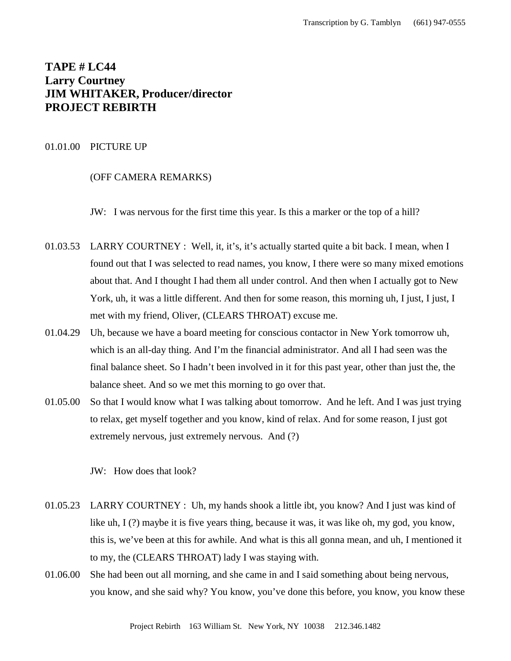# **TAPE # LC44 Larry Courtney JIM WHITAKER, Producer/director PROJECT REBIRTH**

# 01.01.00 PICTURE UP

# (OFF CAMERA REMARKS)

JW: I was nervous for the first time this year. Is this a marker or the top of a hill?

- 01.03.53 LARRY COURTNEY : Well, it, it's, it's actually started quite a bit back. I mean, when I found out that I was selected to read names, you know, I there were so many mixed emotions about that. And I thought I had them all under control. And then when I actually got to New York, uh, it was a little different. And then for some reason, this morning uh, I just, I just, I met with my friend, Oliver, (CLEARS THROAT) excuse me.
- 01.04.29 Uh, because we have a board meeting for conscious contactor in New York tomorrow uh, which is an all-day thing. And I'm the financial administrator. And all I had seen was the final balance sheet. So I hadn't been involved in it for this past year, other than just the, the balance sheet. And so we met this morning to go over that.
- 01.05.00 So that I would know what I was talking about tomorrow. And he left. And I was just trying to relax, get myself together and you know, kind of relax. And for some reason, I just got extremely nervous, just extremely nervous. And (?)

JW: How does that look?

- 01.05.23 LARRY COURTNEY : Uh, my hands shook a little ibt, you know? And I just was kind of like uh, I (?) maybe it is five years thing, because it was, it was like oh, my god, you know, this is, we've been at this for awhile. And what is this all gonna mean, and uh, I mentioned it to my, the (CLEARS THROAT) lady I was staying with.
- 01.06.00 She had been out all morning, and she came in and I said something about being nervous, you know, and she said why? You know, you've done this before, you know, you know these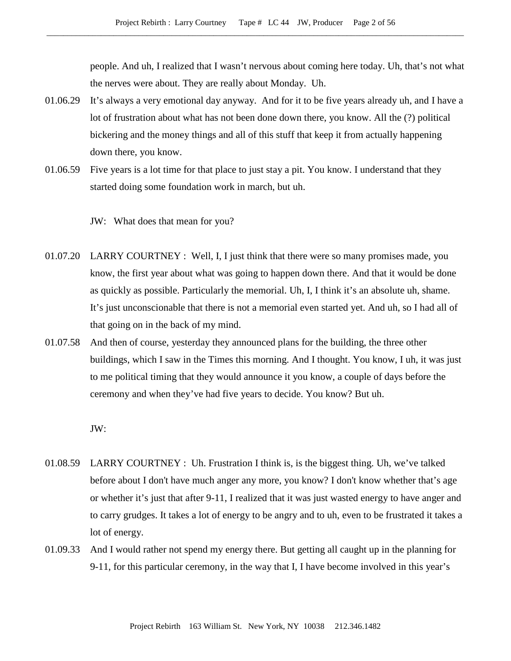people. And uh, I realized that I wasn't nervous about coming here today. Uh, that's not what the nerves were about. They are really about Monday. Uh.

- 01.06.29 It's always a very emotional day anyway. And for it to be five years already uh, and I have a lot of frustration about what has not been done down there, you know. All the (?) political bickering and the money things and all of this stuff that keep it from actually happening down there, you know.
- 01.06.59 Five years is a lot time for that place to just stay a pit. You know. I understand that they started doing some foundation work in march, but uh.

JW: What does that mean for you?

- 01.07.20 LARRY COURTNEY : Well, I, I just think that there were so many promises made, you know, the first year about what was going to happen down there. And that it would be done as quickly as possible. Particularly the memorial. Uh, I, I think it's an absolute uh, shame. It's just unconscionable that there is not a memorial even started yet. And uh, so I had all of that going on in the back of my mind.
- 01.07.58 And then of course, yesterday they announced plans for the building, the three other buildings, which I saw in the Times this morning. And I thought. You know, I uh, it was just to me political timing that they would announce it you know, a couple of days before the ceremony and when they've had five years to decide. You know? But uh.

JW:

- 01.08.59 LARRY COURTNEY : Uh. Frustration I think is, is the biggest thing. Uh, we've talked before about I don't have much anger any more, you know? I don't know whether that's age or whether it's just that after 9-11, I realized that it was just wasted energy to have anger and to carry grudges. It takes a lot of energy to be angry and to uh, even to be frustrated it takes a lot of energy.
- 01.09.33 And I would rather not spend my energy there. But getting all caught up in the planning for 9-11, for this particular ceremony, in the way that I, I have become involved in this year's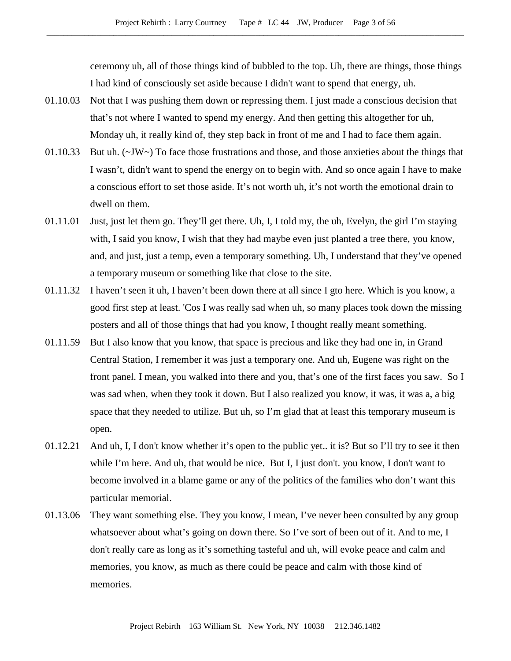ceremony uh, all of those things kind of bubbled to the top. Uh, there are things, those things I had kind of consciously set aside because I didn't want to spend that energy, uh.

- 01.10.03 Not that I was pushing them down or repressing them. I just made a conscious decision that that's not where I wanted to spend my energy. And then getting this altogether for uh, Monday uh, it really kind of, they step back in front of me and I had to face them again.
- 01.10.33 But uh. (~JW~) To face those frustrations and those, and those anxieties about the things that I wasn't, didn't want to spend the energy on to begin with. And so once again I have to make a conscious effort to set those aside. It's not worth uh, it's not worth the emotional drain to dwell on them.
- 01.11.01 Just, just let them go. They'll get there. Uh, I, I told my, the uh, Evelyn, the girl I'm staying with, I said you know, I wish that they had maybe even just planted a tree there, you know, and, and just, just a temp, even a temporary something. Uh, I understand that they've opened a temporary museum or something like that close to the site.
- 01.11.32 I haven't seen it uh, I haven't been down there at all since I gto here. Which is you know, a good first step at least. 'Cos I was really sad when uh, so many places took down the missing posters and all of those things that had you know, I thought really meant something.
- 01.11.59 But I also know that you know, that space is precious and like they had one in, in Grand Central Station, I remember it was just a temporary one. And uh, Eugene was right on the front panel. I mean, you walked into there and you, that's one of the first faces you saw. So I was sad when, when they took it down. But I also realized you know, it was, it was a, a big space that they needed to utilize. But uh, so I'm glad that at least this temporary museum is open.
- 01.12.21 And uh, I, I don't know whether it's open to the public yet.. it is? But so I'll try to see it then while I'm here. And uh, that would be nice. But I, I just don't. you know, I don't want to become involved in a blame game or any of the politics of the families who don't want this particular memorial.
- 01.13.06 They want something else. They you know, I mean, I've never been consulted by any group whatsoever about what's going on down there. So I've sort of been out of it. And to me, I don't really care as long as it's something tasteful and uh, will evoke peace and calm and memories, you know, as much as there could be peace and calm with those kind of memories.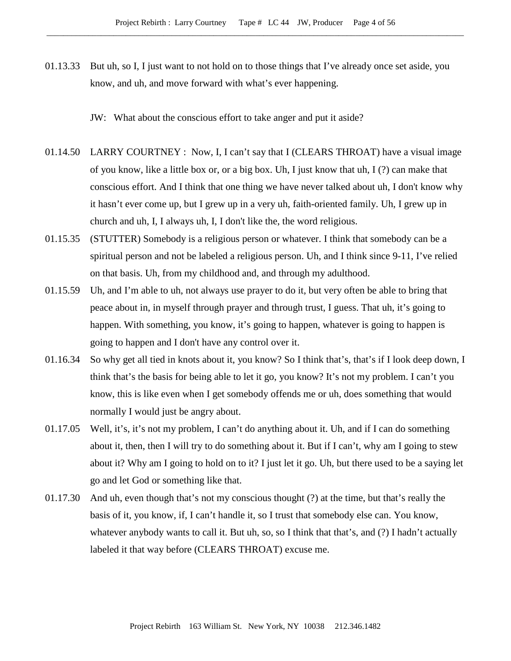01.13.33 But uh, so I, I just want to not hold on to those things that I've already once set aside, you know, and uh, and move forward with what's ever happening.

JW: What about the conscious effort to take anger and put it aside?

- 01.14.50 LARRY COURTNEY : Now, I, I can't say that I (CLEARS THROAT) have a visual image of you know, like a little box or, or a big box. Uh, I just know that uh, I (?) can make that conscious effort. And I think that one thing we have never talked about uh, I don't know why it hasn't ever come up, but I grew up in a very uh, faith-oriented family. Uh, I grew up in church and uh, I, I always uh, I, I don't like the, the word religious.
- 01.15.35 (STUTTER) Somebody is a religious person or whatever. I think that somebody can be a spiritual person and not be labeled a religious person. Uh, and I think since 9-11, I've relied on that basis. Uh, from my childhood and, and through my adulthood.
- 01.15.59 Uh, and I'm able to uh, not always use prayer to do it, but very often be able to bring that peace about in, in myself through prayer and through trust, I guess. That uh, it's going to happen. With something, you know, it's going to happen, whatever is going to happen is going to happen and I don't have any control over it.
- 01.16.34 So why get all tied in knots about it, you know? So I think that's, that's if I look deep down, I think that's the basis for being able to let it go, you know? It's not my problem. I can't you know, this is like even when I get somebody offends me or uh, does something that would normally I would just be angry about.
- 01.17.05 Well, it's, it's not my problem, I can't do anything about it. Uh, and if I can do something about it, then, then I will try to do something about it. But if I can't, why am I going to stew about it? Why am I going to hold on to it? I just let it go. Uh, but there used to be a saying let go and let God or something like that.
- 01.17.30 And uh, even though that's not my conscious thought (?) at the time, but that's really the basis of it, you know, if, I can't handle it, so I trust that somebody else can. You know, whatever anybody wants to call it. But uh, so, so I think that that's, and (?) I hadn't actually labeled it that way before (CLEARS THROAT) excuse me.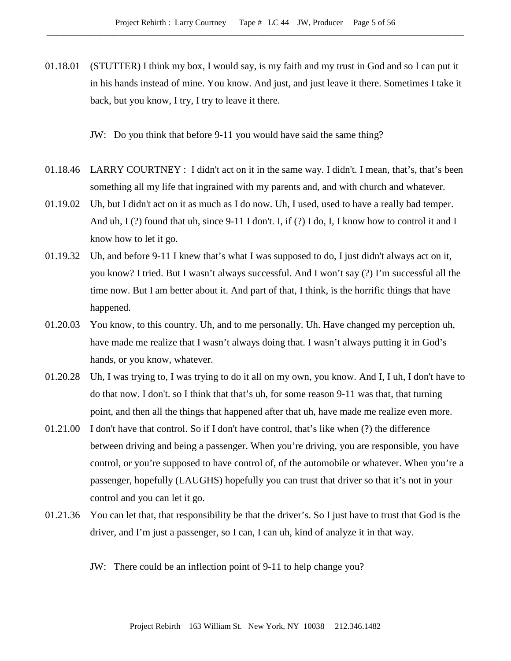01.18.01 (STUTTER) I think my box, I would say, is my faith and my trust in God and so I can put it in his hands instead of mine. You know. And just, and just leave it there. Sometimes I take it back, but you know, I try, I try to leave it there.

JW: Do you think that before 9-11 you would have said the same thing?

- 01.18.46 LARRY COURTNEY : I didn't act on it in the same way. I didn't. I mean, that's, that's been something all my life that ingrained with my parents and, and with church and whatever.
- 01.19.02 Uh, but I didn't act on it as much as I do now. Uh, I used, used to have a really bad temper. And uh,  $I(?)$  found that uh, since 9-11 I don't. I, if  $(?)$  I do, I, I know how to control it and I know how to let it go.
- 01.19.32 Uh, and before 9-11 I knew that's what I was supposed to do, I just didn't always act on it, you know? I tried. But I wasn't always successful. And I won't say (?) I'm successful all the time now. But I am better about it. And part of that, I think, is the horrific things that have happened.
- 01.20.03 You know, to this country. Uh, and to me personally. Uh. Have changed my perception uh, have made me realize that I wasn't always doing that. I wasn't always putting it in God's hands, or you know, whatever.
- 01.20.28 Uh, I was trying to, I was trying to do it all on my own, you know. And I, I uh, I don't have to do that now. I don't. so I think that that's uh, for some reason 9-11 was that, that turning point, and then all the things that happened after that uh, have made me realize even more.
- 01.21.00 I don't have that control. So if I don't have control, that's like when (?) the difference between driving and being a passenger. When you're driving, you are responsible, you have control, or you're supposed to have control of, of the automobile or whatever. When you're a passenger, hopefully (LAUGHS) hopefully you can trust that driver so that it's not in your control and you can let it go.
- 01.21.36 You can let that, that responsibility be that the driver's. So I just have to trust that God is the driver, and I'm just a passenger, so I can, I can uh, kind of analyze it in that way.

JW: There could be an inflection point of 9-11 to help change you?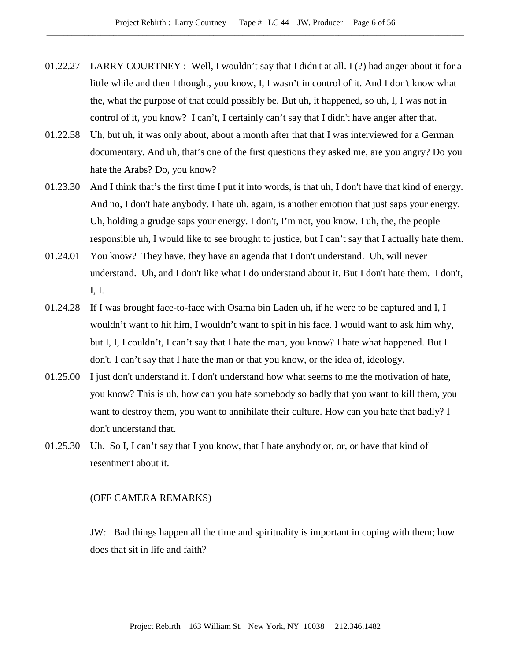- 01.22.27 LARRY COURTNEY : Well, I wouldn't say that I didn't at all. I (?) had anger about it for a little while and then I thought, you know, I, I wasn't in control of it. And I don't know what the, what the purpose of that could possibly be. But uh, it happened, so uh, I, I was not in control of it, you know? I can't, I certainly can't say that I didn't have anger after that.
- 01.22.58 Uh, but uh, it was only about, about a month after that that I was interviewed for a German documentary. And uh, that's one of the first questions they asked me, are you angry? Do you hate the Arabs? Do, you know?
- 01.23.30 And I think that's the first time I put it into words, is that uh, I don't have that kind of energy. And no, I don't hate anybody. I hate uh, again, is another emotion that just saps your energy. Uh, holding a grudge saps your energy. I don't, I'm not, you know. I uh, the, the people responsible uh, I would like to see brought to justice, but I can't say that I actually hate them.
- 01.24.01 You know? They have, they have an agenda that I don't understand. Uh, will never understand. Uh, and I don't like what I do understand about it. But I don't hate them. I don't, I, I.
- 01.24.28 If I was brought face-to-face with Osama bin Laden uh, if he were to be captured and I, I wouldn't want to hit him, I wouldn't want to spit in his face. I would want to ask him why, but I, I, I couldn't, I can't say that I hate the man, you know? I hate what happened. But I don't, I can't say that I hate the man or that you know, or the idea of, ideology.
- 01.25.00 I just don't understand it. I don't understand how what seems to me the motivation of hate, you know? This is uh, how can you hate somebody so badly that you want to kill them, you want to destroy them, you want to annihilate their culture. How can you hate that badly? I don't understand that.
- 01.25.30 Uh. So I, I can't say that I you know, that I hate anybody or, or, or have that kind of resentment about it.

#### (OFF CAMERA REMARKS)

JW: Bad things happen all the time and spirituality is important in coping with them; how does that sit in life and faith?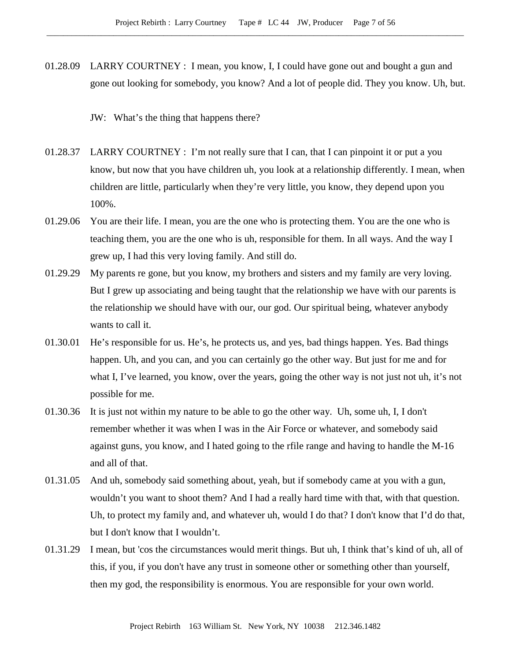01.28.09 LARRY COURTNEY : I mean, you know, I, I could have gone out and bought a gun and gone out looking for somebody, you know? And a lot of people did. They you know. Uh, but.

JW: What's the thing that happens there?

- 01.28.37 LARRY COURTNEY : I'm not really sure that I can, that I can pinpoint it or put a you know, but now that you have children uh, you look at a relationship differently. I mean, when children are little, particularly when they're very little, you know, they depend upon you 100%.
- 01.29.06 You are their life. I mean, you are the one who is protecting them. You are the one who is teaching them, you are the one who is uh, responsible for them. In all ways. And the way I grew up, I had this very loving family. And still do.
- 01.29.29 My parents re gone, but you know, my brothers and sisters and my family are very loving. But I grew up associating and being taught that the relationship we have with our parents is the relationship we should have with our, our god. Our spiritual being, whatever anybody wants to call it.
- 01.30.01 He's responsible for us. He's, he protects us, and yes, bad things happen. Yes. Bad things happen. Uh, and you can, and you can certainly go the other way. But just for me and for what I, I've learned, you know, over the years, going the other way is not just not uh, it's not possible for me.
- 01.30.36 It is just not within my nature to be able to go the other way. Uh, some uh, I, I don't remember whether it was when I was in the Air Force or whatever, and somebody said against guns, you know, and I hated going to the rfile range and having to handle the M-16 and all of that.
- 01.31.05 And uh, somebody said something about, yeah, but if somebody came at you with a gun, wouldn't you want to shoot them? And I had a really hard time with that, with that question. Uh, to protect my family and, and whatever uh, would I do that? I don't know that I'd do that, but I don't know that I wouldn't.
- 01.31.29 I mean, but 'cos the circumstances would merit things. But uh, I think that's kind of uh, all of this, if you, if you don't have any trust in someone other or something other than yourself, then my god, the responsibility is enormous. You are responsible for your own world.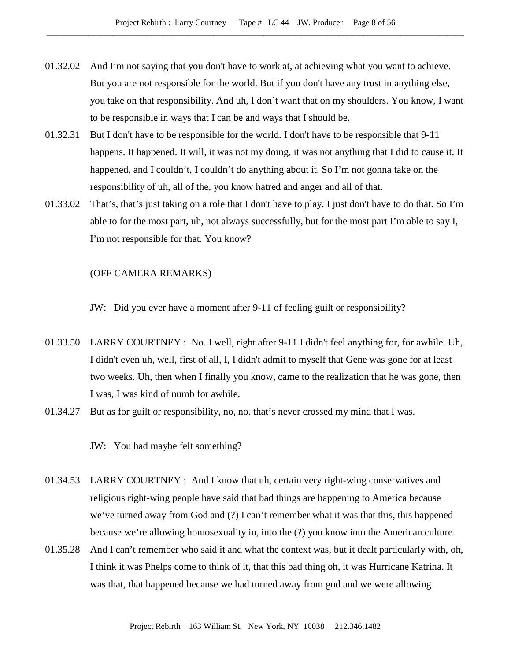- 01.32.02 And I'm not saying that you don't have to work at, at achieving what you want to achieve. But you are not responsible for the world. But if you don't have any trust in anything else, you take on that responsibility. And uh, I don't want that on my shoulders. You know, I want to be responsible in ways that I can be and ways that I should be.
- 01.32.31 But I don't have to be responsible for the world. I don't have to be responsible that 9-11 happens. It happened. It will, it was not my doing, it was not anything that I did to cause it. It happened, and I couldn't, I couldn't do anything about it. So I'm not gonna take on the responsibility of uh, all of the, you know hatred and anger and all of that.
- 01.33.02 That's, that's just taking on a role that I don't have to play. I just don't have to do that. So I'm able to for the most part, uh, not always successfully, but for the most part I'm able to say I, I'm not responsible for that. You know?

#### (OFF CAMERA REMARKS)

JW: Did you ever have a moment after 9-11 of feeling guilt or responsibility?

- 01.33.50 LARRY COURTNEY : No. I well, right after 9-11 I didn't feel anything for, for awhile. Uh, I didn't even uh, well, first of all, I, I didn't admit to myself that Gene was gone for at least two weeks. Uh, then when I finally you know, came to the realization that he was gone, then I was, I was kind of numb for awhile.
- 01.34.27 But as for guilt or responsibility, no, no. that's never crossed my mind that I was.

JW: You had maybe felt something?

- 01.34.53 LARRY COURTNEY : And I know that uh, certain very right-wing conservatives and religious right-wing people have said that bad things are happening to America because we've turned away from God and (?) I can't remember what it was that this, this happened because we're allowing homosexuality in, into the (?) you know into the American culture.
- 01.35.28 And I can't remember who said it and what the context was, but it dealt particularly with, oh, I think it was Phelps come to think of it, that this bad thing oh, it was Hurricane Katrina. It was that, that happened because we had turned away from god and we were allowing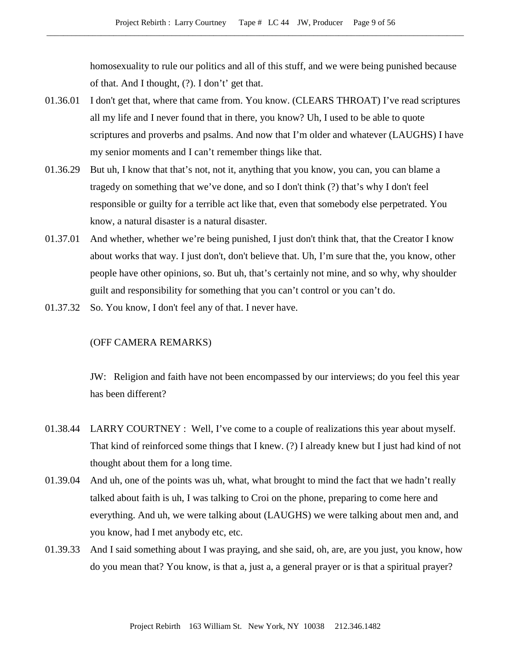homosexuality to rule our politics and all of this stuff, and we were being punished because of that. And I thought, (?). I don't' get that.

- 01.36.01 I don't get that, where that came from. You know. (CLEARS THROAT) I've read scriptures all my life and I never found that in there, you know? Uh, I used to be able to quote scriptures and proverbs and psalms. And now that I'm older and whatever (LAUGHS) I have my senior moments and I can't remember things like that.
- 01.36.29 But uh, I know that that's not, not it, anything that you know, you can, you can blame a tragedy on something that we've done, and so I don't think (?) that's why I don't feel responsible or guilty for a terrible act like that, even that somebody else perpetrated. You know, a natural disaster is a natural disaster.
- 01.37.01 And whether, whether we're being punished, I just don't think that, that the Creator I know about works that way. I just don't, don't believe that. Uh, I'm sure that the, you know, other people have other opinions, so. But uh, that's certainly not mine, and so why, why shoulder guilt and responsibility for something that you can't control or you can't do.
- 01.37.32 So. You know, I don't feel any of that. I never have.

# (OFF CAMERA REMARKS)

JW: Religion and faith have not been encompassed by our interviews; do you feel this year has been different?

- 01.38.44 LARRY COURTNEY : Well, I've come to a couple of realizations this year about myself. That kind of reinforced some things that I knew. (?) I already knew but I just had kind of not thought about them for a long time.
- 01.39.04 And uh, one of the points was uh, what, what brought to mind the fact that we hadn't really talked about faith is uh, I was talking to Croi on the phone, preparing to come here and everything. And uh, we were talking about (LAUGHS) we were talking about men and, and you know, had I met anybody etc, etc.
- 01.39.33 And I said something about I was praying, and she said, oh, are, are you just, you know, how do you mean that? You know, is that a, just a, a general prayer or is that a spiritual prayer?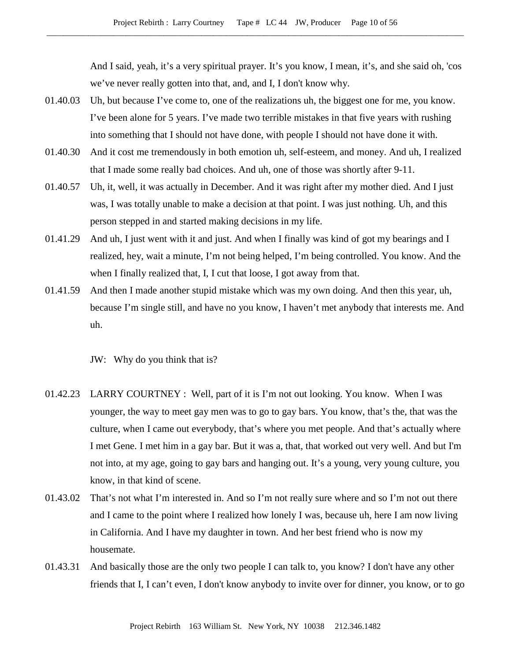And I said, yeah, it's a very spiritual prayer. It's you know, I mean, it's, and she said oh, 'cos we've never really gotten into that, and, and I, I don't know why.

- 01.40.03 Uh, but because I've come to, one of the realizations uh, the biggest one for me, you know. I've been alone for 5 years. I've made two terrible mistakes in that five years with rushing into something that I should not have done, with people I should not have done it with.
- 01.40.30 And it cost me tremendously in both emotion uh, self-esteem, and money. And uh, I realized that I made some really bad choices. And uh, one of those was shortly after 9-11.
- 01.40.57 Uh, it, well, it was actually in December. And it was right after my mother died. And I just was, I was totally unable to make a decision at that point. I was just nothing. Uh, and this person stepped in and started making decisions in my life.
- 01.41.29 And uh, I just went with it and just. And when I finally was kind of got my bearings and I realized, hey, wait a minute, I'm not being helped, I'm being controlled. You know. And the when I finally realized that, I, I cut that loose, I got away from that.
- 01.41.59 And then I made another stupid mistake which was my own doing. And then this year, uh, because I'm single still, and have no you know, I haven't met anybody that interests me. And uh.

JW: Why do you think that is?

- 01.42.23 LARRY COURTNEY : Well, part of it is I'm not out looking. You know. When I was younger, the way to meet gay men was to go to gay bars. You know, that's the, that was the culture, when I came out everybody, that's where you met people. And that's actually where I met Gene. I met him in a gay bar. But it was a, that, that worked out very well. And but I'm not into, at my age, going to gay bars and hanging out. It's a young, very young culture, you know, in that kind of scene.
- 01.43.02 That's not what I'm interested in. And so I'm not really sure where and so I'm not out there and I came to the point where I realized how lonely I was, because uh, here I am now living in California. And I have my daughter in town. And her best friend who is now my housemate.
- 01.43.31 And basically those are the only two people I can talk to, you know? I don't have any other friends that I, I can't even, I don't know anybody to invite over for dinner, you know, or to go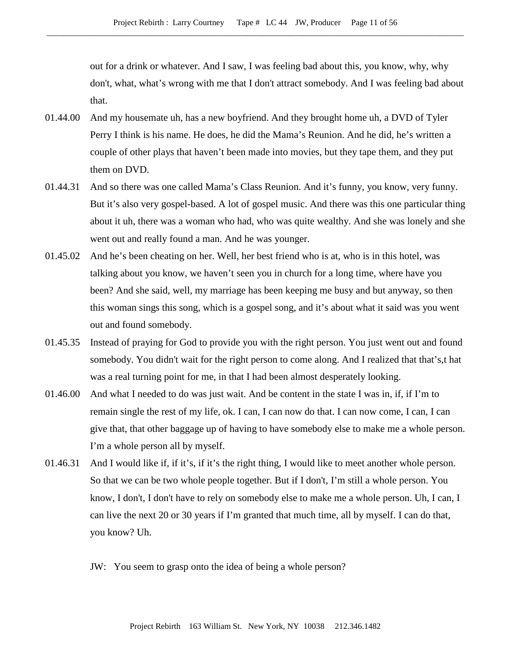out for a drink or whatever. And I saw, I was feeling bad about this, you know, why, why don't, what, what's wrong with me that I don't attract somebody. And I was feeling bad about that.

- 01.44.00 And my housemate uh, has a new boyfriend. And they brought home uh, a DVD of Tyler Perry I think is his name. He does, he did the Mama's Reunion. And he did, he's written a couple of other plays that haven't been made into movies, but they tape them, and they put them on DVD.
- 01.44.31 And so there was one called Mama's Class Reunion. And it's funny, you know, very funny. But it's also very gospel-based. A lot of gospel music. And there was this one particular thing about it uh, there was a woman who had, who was quite wealthy. And she was lonely and she went out and really found a man. And he was younger.
- 01.45.02 And he's been cheating on her. Well, her best friend who is at, who is in this hotel, was talking about you know, we haven't seen you in church for a long time, where have you been? And she said, well, my marriage has been keeping me busy and but anyway, so then this woman sings this song, which is a gospel song, and it's about what it said was you went out and found somebody.
- 01.45.35 Instead of praying for God to provide you with the right person. You just went out and found somebody. You didn't wait for the right person to come along. And I realized that that's,t hat was a real turning point for me, in that I had been almost desperately looking.
- 01.46.00 And what I needed to do was just wait. And be content in the state I was in, if, if I'm to remain single the rest of my life, ok. I can, I can now do that. I can now come, I can, I can give that, that other baggage up of having to have somebody else to make me a whole person. I'm a whole person all by myself.
- 01.46.31 And I would like if, if it's, if it's the right thing, I would like to meet another whole person. So that we can be two whole people together. But if I don't, I'm still a whole person. You know, I don't, I don't have to rely on somebody else to make me a whole person. Uh, I can, I can live the next 20 or 30 years if I'm granted that much time, all by myself. I can do that, you know? Uh.
	- JW: You seem to grasp onto the idea of being a whole person?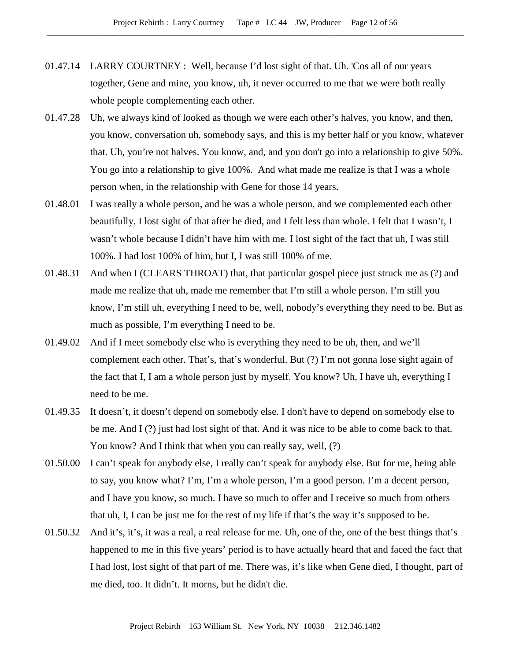- 01.47.14 LARRY COURTNEY : Well, because I'd lost sight of that. Uh. 'Cos all of our years together, Gene and mine, you know, uh, it never occurred to me that we were both really whole people complementing each other.
- 01.47.28 Uh, we always kind of looked as though we were each other's halves, you know, and then, you know, conversation uh, somebody says, and this is my better half or you know, whatever that. Uh, you're not halves. You know, and, and you don't go into a relationship to give 50%. You go into a relationship to give 100%. And what made me realize is that I was a whole person when, in the relationship with Gene for those 14 years.
- 01.48.01 I was really a whole person, and he was a whole person, and we complemented each other beautifully. I lost sight of that after he died, and I felt less than whole. I felt that I wasn't, I wasn't whole because I didn't have him with me. I lost sight of the fact that uh, I was still 100%. I had lost 100% of him, but I, I was still 100% of me.
- 01.48.31 And when I (CLEARS THROAT) that, that particular gospel piece just struck me as (?) and made me realize that uh, made me remember that I'm still a whole person. I'm still you know, I'm still uh, everything I need to be, well, nobody's everything they need to be. But as much as possible, I'm everything I need to be.
- 01.49.02 And if I meet somebody else who is everything they need to be uh, then, and we'll complement each other. That's, that's wonderful. But (?) I'm not gonna lose sight again of the fact that I, I am a whole person just by myself. You know? Uh, I have uh, everything I need to be me.
- 01.49.35 It doesn't, it doesn't depend on somebody else. I don't have to depend on somebody else to be me. And I (?) just had lost sight of that. And it was nice to be able to come back to that. You know? And I think that when you can really say, well, (?)
- 01.50.00 I can't speak for anybody else, I really can't speak for anybody else. But for me, being able to say, you know what? I'm, I'm a whole person, I'm a good person. I'm a decent person, and I have you know, so much. I have so much to offer and I receive so much from others that uh, I, I can be just me for the rest of my life if that's the way it's supposed to be.
- 01.50.32 And it's, it's, it was a real, a real release for me. Uh, one of the, one of the best things that's happened to me in this five years' period is to have actually heard that and faced the fact that I had lost, lost sight of that part of me. There was, it's like when Gene died, I thought, part of me died, too. It didn't. It morns, but he didn't die.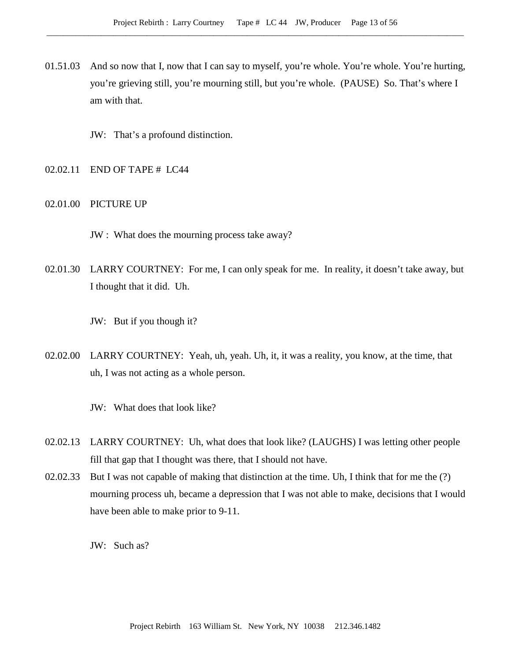- 01.51.03 And so now that I, now that I can say to myself, you're whole. You're whole. You're hurting, you're grieving still, you're mourning still, but you're whole. (PAUSE) So. That's where I am with that.
	- JW: That's a profound distinction.
- 02.02.11 END OF TAPE # LC44
- 02.01.00 PICTURE UP
	- JW : What does the mourning process take away?
- 02.01.30 LARRY COURTNEY: For me, I can only speak for me. In reality, it doesn't take away, but I thought that it did. Uh.

JW: But if you though it?

- 02.02.00 LARRY COURTNEY: Yeah, uh, yeah. Uh, it, it was a reality, you know, at the time, that uh, I was not acting as a whole person.
	- JW: What does that look like?
- 02.02.13 LARRY COURTNEY: Uh, what does that look like? (LAUGHS) I was letting other people fill that gap that I thought was there, that I should not have.
- 02.02.33 But I was not capable of making that distinction at the time. Uh, I think that for me the (?) mourning process uh, became a depression that I was not able to make, decisions that I would have been able to make prior to 9-11.

JW: Such as?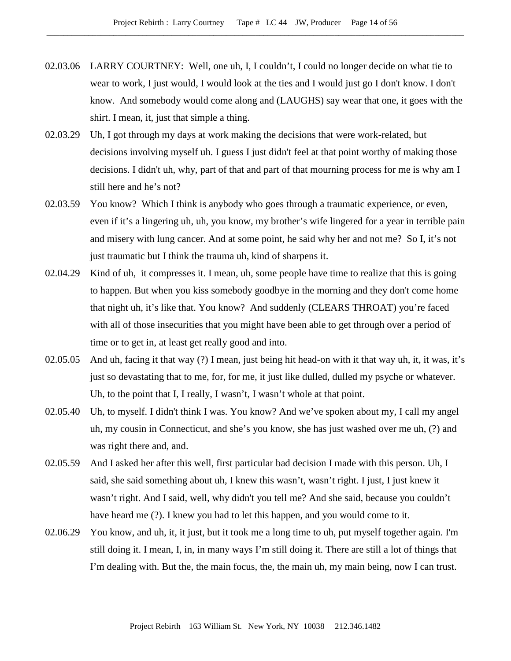- 02.03.06 LARRY COURTNEY: Well, one uh, I, I couldn't, I could no longer decide on what tie to wear to work, I just would, I would look at the ties and I would just go I don't know. I don't know. And somebody would come along and (LAUGHS) say wear that one, it goes with the shirt. I mean, it, just that simple a thing.
- 02.03.29 Uh, I got through my days at work making the decisions that were work-related, but decisions involving myself uh. I guess I just didn't feel at that point worthy of making those decisions. I didn't uh, why, part of that and part of that mourning process for me is why am I still here and he's not?
- 02.03.59 You know? Which I think is anybody who goes through a traumatic experience, or even, even if it's a lingering uh, uh, you know, my brother's wife lingered for a year in terrible pain and misery with lung cancer. And at some point, he said why her and not me? So I, it's not just traumatic but I think the trauma uh, kind of sharpens it.
- 02.04.29 Kind of uh, it compresses it. I mean, uh, some people have time to realize that this is going to happen. But when you kiss somebody goodbye in the morning and they don't come home that night uh, it's like that. You know? And suddenly (CLEARS THROAT) you're faced with all of those insecurities that you might have been able to get through over a period of time or to get in, at least get really good and into.
- 02.05.05 And uh, facing it that way (?) I mean, just being hit head-on with it that way uh, it, it was, it's just so devastating that to me, for, for me, it just like dulled, dulled my psyche or whatever. Uh, to the point that I, I really, I wasn't, I wasn't whole at that point.
- 02.05.40 Uh, to myself. I didn't think I was. You know? And we've spoken about my, I call my angel uh, my cousin in Connecticut, and she's you know, she has just washed over me uh, (?) and was right there and, and.
- 02.05.59 And I asked her after this well, first particular bad decision I made with this person. Uh, I said, she said something about uh, I knew this wasn't, wasn't right. I just, I just knew it wasn't right. And I said, well, why didn't you tell me? And she said, because you couldn't have heard me (?). I knew you had to let this happen, and you would come to it.
- 02.06.29 You know, and uh, it, it just, but it took me a long time to uh, put myself together again. I'm still doing it. I mean, I, in, in many ways I'm still doing it. There are still a lot of things that I'm dealing with. But the, the main focus, the, the main uh, my main being, now I can trust.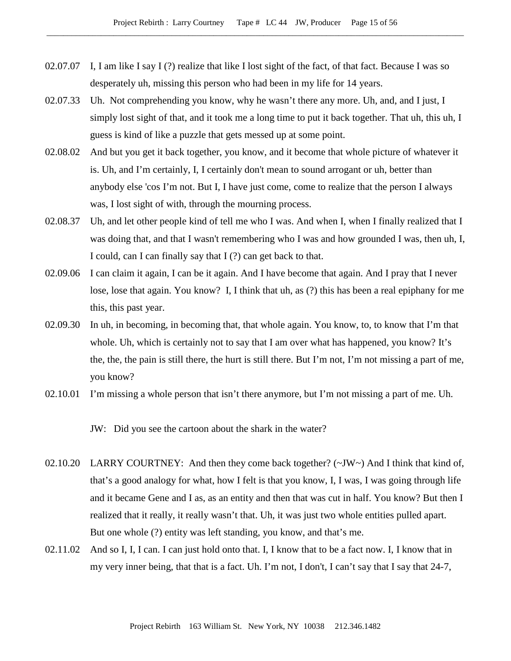- 02.07.07 I, I am like I say I (?) realize that like I lost sight of the fact, of that fact. Because I was so desperately uh, missing this person who had been in my life for 14 years.
- 02.07.33 Uh. Not comprehending you know, why he wasn't there any more. Uh, and, and I just, I simply lost sight of that, and it took me a long time to put it back together. That uh, this uh, I guess is kind of like a puzzle that gets messed up at some point.
- 02.08.02 And but you get it back together, you know, and it become that whole picture of whatever it is. Uh, and I'm certainly, I, I certainly don't mean to sound arrogant or uh, better than anybody else 'cos I'm not. But I, I have just come, come to realize that the person I always was, I lost sight of with, through the mourning process.
- 02.08.37 Uh, and let other people kind of tell me who I was. And when I, when I finally realized that I was doing that, and that I wasn't remembering who I was and how grounded I was, then uh, I, I could, can I can finally say that I (?) can get back to that.
- 02.09.06 I can claim it again, I can be it again. And I have become that again. And I pray that I never lose, lose that again. You know? I, I think that uh, as (?) this has been a real epiphany for me this, this past year.
- 02.09.30 In uh, in becoming, in becoming that, that whole again. You know, to, to know that I'm that whole. Uh, which is certainly not to say that I am over what has happened, you know? It's the, the, the pain is still there, the hurt is still there. But I'm not, I'm not missing a part of me, you know?
- 02.10.01 I'm missing a whole person that isn't there anymore, but I'm not missing a part of me. Uh.

JW: Did you see the cartoon about the shark in the water?

- 02.10.20 LARRY COURTNEY: And then they come back together? (~JW~) And I think that kind of, that's a good analogy for what, how I felt is that you know, I, I was, I was going through life and it became Gene and I as, as an entity and then that was cut in half. You know? But then I realized that it really, it really wasn't that. Uh, it was just two whole entities pulled apart. But one whole (?) entity was left standing, you know, and that's me.
- 02.11.02 And so I, I, I can. I can just hold onto that. I, I know that to be a fact now. I, I know that in my very inner being, that that is a fact. Uh. I'm not, I don't, I can't say that I say that 24-7,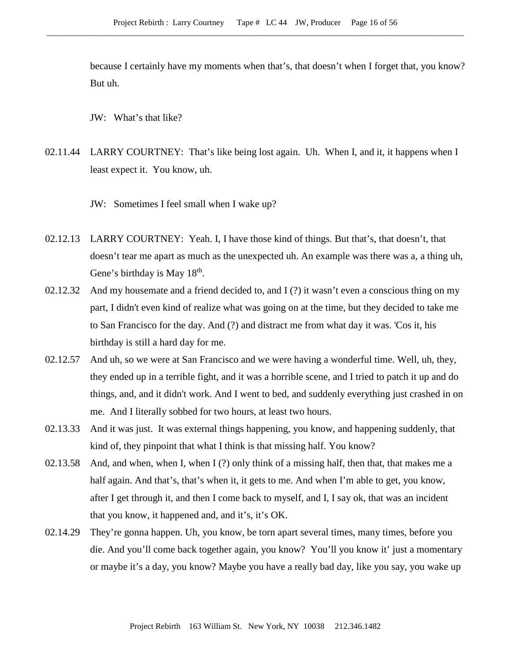because I certainly have my moments when that's, that doesn't when I forget that, you know? But uh.

JW: What's that like?

02.11.44 LARRY COURTNEY: That's like being lost again. Uh. When I, and it, it happens when I least expect it. You know, uh.

JW: Sometimes I feel small when I wake up?

- 02.12.13 LARRY COURTNEY: Yeah. I, I have those kind of things. But that's, that doesn't, that doesn't tear me apart as much as the unexpected uh. An example was there was a, a thing uh, Gene's birthday is May  $18<sup>th</sup>$ .
- 02.12.32 And my housemate and a friend decided to, and I (?) it wasn't even a conscious thing on my part, I didn't even kind of realize what was going on at the time, but they decided to take me to San Francisco for the day. And (?) and distract me from what day it was. 'Cos it, his birthday is still a hard day for me.
- 02.12.57 And uh, so we were at San Francisco and we were having a wonderful time. Well, uh, they, they ended up in a terrible fight, and it was a horrible scene, and I tried to patch it up and do things, and, and it didn't work. And I went to bed, and suddenly everything just crashed in on me. And I literally sobbed for two hours, at least two hours.
- 02.13.33 And it was just. It was external things happening, you know, and happening suddenly, that kind of, they pinpoint that what I think is that missing half. You know?
- 02.13.58 And, and when, when I, when I (?) only think of a missing half, then that, that makes me a half again. And that's, that's when it, it gets to me. And when I'm able to get, you know, after I get through it, and then I come back to myself, and I, I say ok, that was an incident that you know, it happened and, and it's, it's OK.
- 02.14.29 They're gonna happen. Uh, you know, be torn apart several times, many times, before you die. And you'll come back together again, you know? You'll you know it' just a momentary or maybe it's a day, you know? Maybe you have a really bad day, like you say, you wake up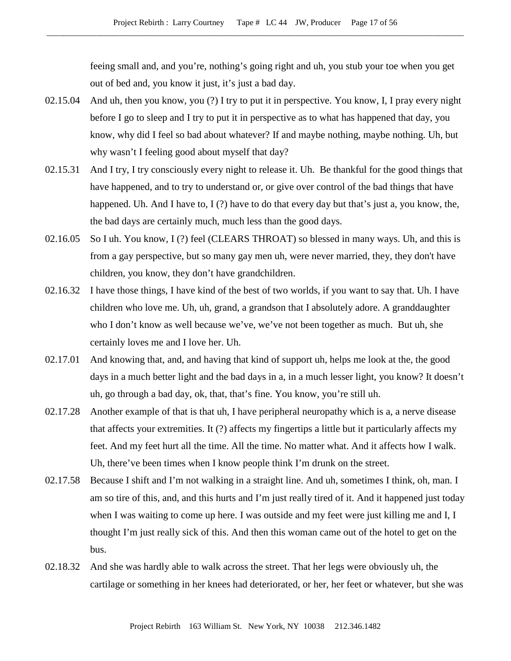feeing small and, and you're, nothing's going right and uh, you stub your toe when you get out of bed and, you know it just, it's just a bad day.

- 02.15.04 And uh, then you know, you (?) I try to put it in perspective. You know, I, I pray every night before I go to sleep and I try to put it in perspective as to what has happened that day, you know, why did I feel so bad about whatever? If and maybe nothing, maybe nothing. Uh, but why wasn't I feeling good about myself that day?
- 02.15.31 And I try, I try consciously every night to release it. Uh. Be thankful for the good things that have happened, and to try to understand or, or give over control of the bad things that have happened. Uh. And I have to, I (?) have to do that every day but that's just a, you know, the, the bad days are certainly much, much less than the good days.
- 02.16.05 So I uh. You know, I (?) feel (CLEARS THROAT) so blessed in many ways. Uh, and this is from a gay perspective, but so many gay men uh, were never married, they, they don't have children, you know, they don't have grandchildren.
- 02.16.32 I have those things, I have kind of the best of two worlds, if you want to say that. Uh. I have children who love me. Uh, uh, grand, a grandson that I absolutely adore. A granddaughter who I don't know as well because we've, we've not been together as much. But uh, she certainly loves me and I love her. Uh.
- 02.17.01 And knowing that, and, and having that kind of support uh, helps me look at the, the good days in a much better light and the bad days in a, in a much lesser light, you know? It doesn't uh, go through a bad day, ok, that, that's fine. You know, you're still uh.
- 02.17.28 Another example of that is that uh, I have peripheral neuropathy which is a, a nerve disease that affects your extremities. It (?) affects my fingertips a little but it particularly affects my feet. And my feet hurt all the time. All the time. No matter what. And it affects how I walk. Uh, there've been times when I know people think I'm drunk on the street.
- 02.17.58 Because I shift and I'm not walking in a straight line. And uh, sometimes I think, oh, man. I am so tire of this, and, and this hurts and I'm just really tired of it. And it happened just today when I was waiting to come up here. I was outside and my feet were just killing me and I, I thought I'm just really sick of this. And then this woman came out of the hotel to get on the bus.
- 02.18.32 And she was hardly able to walk across the street. That her legs were obviously uh, the cartilage or something in her knees had deteriorated, or her, her feet or whatever, but she was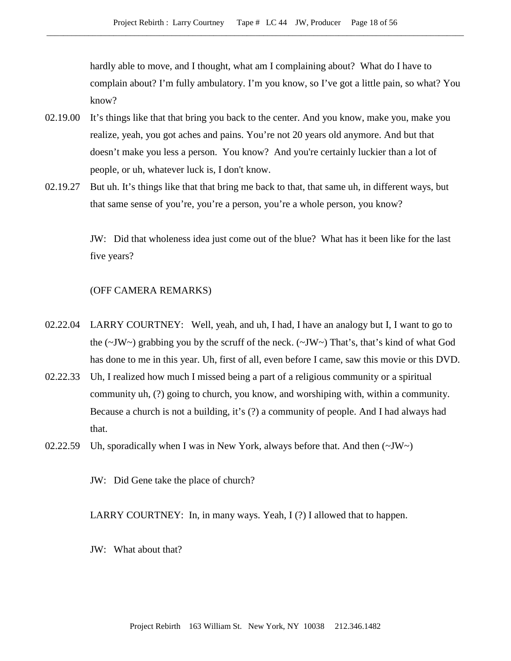hardly able to move, and I thought, what am I complaining about? What do I have to complain about? I'm fully ambulatory. I'm you know, so I've got a little pain, so what? You know?

- 02.19.00 It's things like that that bring you back to the center. And you know, make you, make you realize, yeah, you got aches and pains. You're not 20 years old anymore. And but that doesn't make you less a person. You know? And you're certainly luckier than a lot of people, or uh, whatever luck is, I don't know.
- 02.19.27 But uh. It's things like that that bring me back to that, that same uh, in different ways, but that same sense of you're, you're a person, you're a whole person, you know?

JW: Did that wholeness idea just come out of the blue? What has it been like for the last five years?

#### (OFF CAMERA REMARKS)

- 02.22.04 LARRY COURTNEY: Well, yeah, and uh, I had, I have an analogy but I, I want to go to the  $(\sim JW \sim)$  grabbing you by the scruff of the neck.  $(\sim JW \sim)$  That's, that's kind of what God has done to me in this year. Uh, first of all, even before I came, saw this movie or this DVD.
- 02.22.33 Uh, I realized how much I missed being a part of a religious community or a spiritual community uh, (?) going to church, you know, and worshiping with, within a community. Because a church is not a building, it's (?) a community of people. And I had always had that.
- 02.22.59 Uh, sporadically when I was in New York, always before that. And then  $(\sim JW)$

JW: Did Gene take the place of church?

LARRY COURTNEY: In, in many ways. Yeah, I (?) I allowed that to happen.

JW: What about that?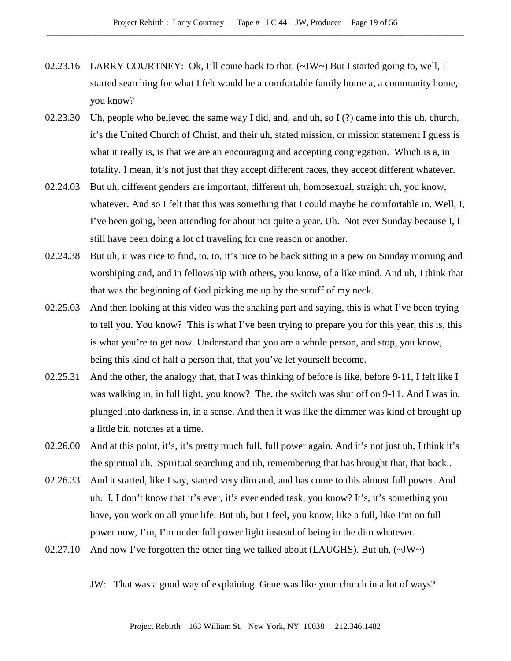- 02.23.16 LARRY COURTNEY: Ok, I'll come back to that.  $(\sim JW \sim)$  But I started going to, well, I started searching for what I felt would be a comfortable family home a, a community home, you know?
- 02.23.30 Uh, people who believed the same way I did, and, and uh, so I (?) came into this uh, church, it's the United Church of Christ, and their uh, stated mission, or mission statement I guess is what it really is, is that we are an encouraging and accepting congregation. Which is a, in totality. I mean, it's not just that they accept different races, they accept different whatever.
- 02.24.03 But uh, different genders are important, different uh, homosexual, straight uh, you know, whatever. And so I felt that this was something that I could maybe be comfortable in. Well, I, I've been going, been attending for about not quite a year. Uh. Not ever Sunday because I, I still have been doing a lot of traveling for one reason or another.
- 02.24.38 But uh, it was nice to find, to, to, it's nice to be back sitting in a pew on Sunday morning and worshiping and, and in fellowship with others, you know, of a like mind. And uh, I think that that was the beginning of God picking me up by the scruff of my neck.
- 02.25.03 And then looking at this video was the shaking part and saying, this is what I've been trying to tell you. You know? This is what I've been trying to prepare you for this year, this is, this is what you're to get now. Understand that you are a whole person, and stop, you know, being this kind of half a person that, that you've let yourself become.
- 02.25.31 And the other, the analogy that, that I was thinking of before is like, before 9-11, I felt like I was walking in, in full light, you know? The, the switch was shut off on 9-11. And I was in, plunged into darkness in, in a sense. And then it was like the dimmer was kind of brought up a little bit, notches at a time.
- 02.26.00 And at this point, it's, it's pretty much full, full power again. And it's not just uh, I think it's the spiritual uh. Spiritual searching and uh, remembering that has brought that, that back..
- 02.26.33 And it started, like I say, started very dim and, and has come to this almost full power. And uh. I, I don't know that it's ever, it's ever ended task, you know? It's, it's something you have, you work on all your life. But uh, but I feel, you know, like a full, like I'm on full power now, I'm, I'm under full power light instead of being in the dim whatever.
- 02.27.10 And now I've forgotten the other ting we talked about (LAUGHS). But uh,  $(\sim JW \sim)$

JW: That was a good way of explaining. Gene was like your church in a lot of ways?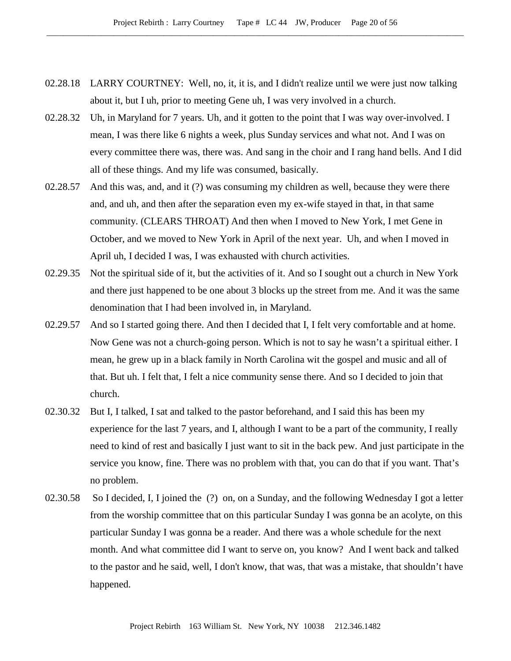- 02.28.18 LARRY COURTNEY: Well, no, it, it is, and I didn't realize until we were just now talking about it, but I uh, prior to meeting Gene uh, I was very involved in a church.
- 02.28.32 Uh, in Maryland for 7 years. Uh, and it gotten to the point that I was way over-involved. I mean, I was there like 6 nights a week, plus Sunday services and what not. And I was on every committee there was, there was. And sang in the choir and I rang hand bells. And I did all of these things. And my life was consumed, basically.
- 02.28.57 And this was, and, and it (?) was consuming my children as well, because they were there and, and uh, and then after the separation even my ex-wife stayed in that, in that same community. (CLEARS THROAT) And then when I moved to New York, I met Gene in October, and we moved to New York in April of the next year. Uh, and when I moved in April uh, I decided I was, I was exhausted with church activities.
- 02.29.35 Not the spiritual side of it, but the activities of it. And so I sought out a church in New York and there just happened to be one about 3 blocks up the street from me. And it was the same denomination that I had been involved in, in Maryland.
- 02.29.57 And so I started going there. And then I decided that I, I felt very comfortable and at home. Now Gene was not a church-going person. Which is not to say he wasn't a spiritual either. I mean, he grew up in a black family in North Carolina wit the gospel and music and all of that. But uh. I felt that, I felt a nice community sense there. And so I decided to join that church.
- 02.30.32 But I, I talked, I sat and talked to the pastor beforehand, and I said this has been my experience for the last 7 years, and I, although I want to be a part of the community, I really need to kind of rest and basically I just want to sit in the back pew. And just participate in the service you know, fine. There was no problem with that, you can do that if you want. That's no problem.
- 02.30.58 So I decided, I, I joined the (?) on, on a Sunday, and the following Wednesday I got a letter from the worship committee that on this particular Sunday I was gonna be an acolyte, on this particular Sunday I was gonna be a reader. And there was a whole schedule for the next month. And what committee did I want to serve on, you know? And I went back and talked to the pastor and he said, well, I don't know, that was, that was a mistake, that shouldn't have happened.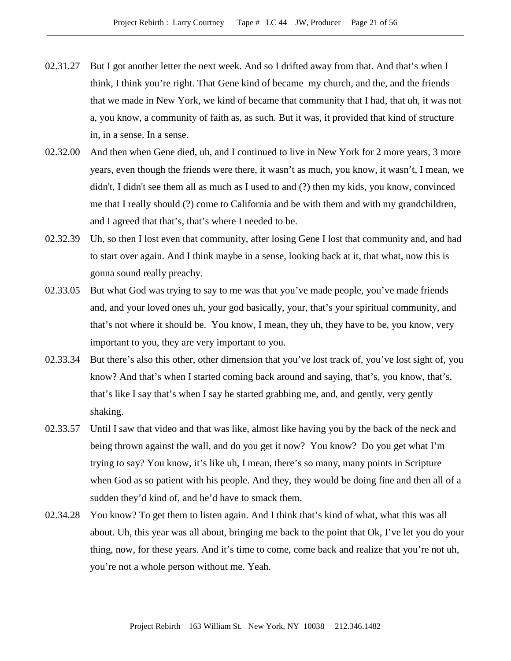- 02.31.27 But I got another letter the next week. And so I drifted away from that. And that's when I think, I think you're right. That Gene kind of became my church, and the, and the friends that we made in New York, we kind of became that community that I had, that uh, it was not a, you know, a community of faith as, as such. But it was, it provided that kind of structure in, in a sense. In a sense.
- 02.32.00 And then when Gene died, uh, and I continued to live in New York for 2 more years, 3 more years, even though the friends were there, it wasn't as much, you know, it wasn't, I mean, we didn't, I didn't see them all as much as I used to and (?) then my kids, you know, convinced me that I really should (?) come to California and be with them and with my grandchildren, and I agreed that that's, that's where I needed to be.
- 02.32.39 Uh, so then I lost even that community, after losing Gene I lost that community and, and had to start over again. And I think maybe in a sense, looking back at it, that what, now this is gonna sound really preachy.
- 02.33.05 But what God was trying to say to me was that you've made people, you've made friends and, and your loved ones uh, your god basically, your, that's your spiritual community, and that's not where it should be. You know, I mean, they uh, they have to be, you know, very important to you, they are very important to you.
- 02.33.34 But there's also this other, other dimension that you've lost track of, you've lost sight of, you know? And that's when I started coming back around and saying, that's, you know, that's, that's like I say that's when I say he started grabbing me, and, and gently, very gently shaking.
- 02.33.57 Until I saw that video and that was like, almost like having you by the back of the neck and being thrown against the wall, and do you get it now? You know? Do you get what I'm trying to say? You know, it's like uh, I mean, there's so many, many points in Scripture when God as so patient with his people. And they, they would be doing fine and then all of a sudden they'd kind of, and he'd have to smack them.
- 02.34.28 You know? To get them to listen again. And I think that's kind of what, what this was all about. Uh, this year was all about, bringing me back to the point that Ok, I've let you do your thing, now, for these years. And it's time to come, come back and realize that you're not uh, you're not a whole person without me. Yeah.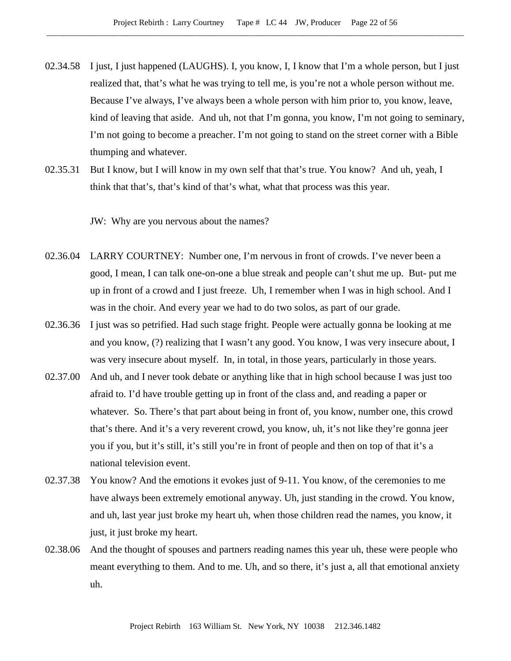- 02.34.58 I just, I just happened (LAUGHS). I, you know, I, I know that I'm a whole person, but I just realized that, that's what he was trying to tell me, is you're not a whole person without me. Because I've always, I've always been a whole person with him prior to, you know, leave, kind of leaving that aside. And uh, not that I'm gonna, you know, I'm not going to seminary, I'm not going to become a preacher. I'm not going to stand on the street corner with a Bible thumping and whatever.
- 02.35.31 But I know, but I will know in my own self that that's true. You know? And uh, yeah, I think that that's, that's kind of that's what, what that process was this year.

JW: Why are you nervous about the names?

- 02.36.04 LARRY COURTNEY: Number one, I'm nervous in front of crowds. I've never been a good, I mean, I can talk one-on-one a blue streak and people can't shut me up. But- put me up in front of a crowd and I just freeze. Uh, I remember when I was in high school. And I was in the choir. And every year we had to do two solos, as part of our grade.
- 02.36.36 I just was so petrified. Had such stage fright. People were actually gonna be looking at me and you know, (?) realizing that I wasn't any good. You know, I was very insecure about, I was very insecure about myself. In, in total, in those years, particularly in those years.
- 02.37.00 And uh, and I never took debate or anything like that in high school because I was just too afraid to. I'd have trouble getting up in front of the class and, and reading a paper or whatever. So. There's that part about being in front of, you know, number one, this crowd that's there. And it's a very reverent crowd, you know, uh, it's not like they're gonna jeer you if you, but it's still, it's still you're in front of people and then on top of that it's a national television event.
- 02.37.38 You know? And the emotions it evokes just of 9-11. You know, of the ceremonies to me have always been extremely emotional anyway. Uh, just standing in the crowd. You know, and uh, last year just broke my heart uh, when those children read the names, you know, it just, it just broke my heart.
- 02.38.06 And the thought of spouses and partners reading names this year uh, these were people who meant everything to them. And to me. Uh, and so there, it's just a, all that emotional anxiety uh.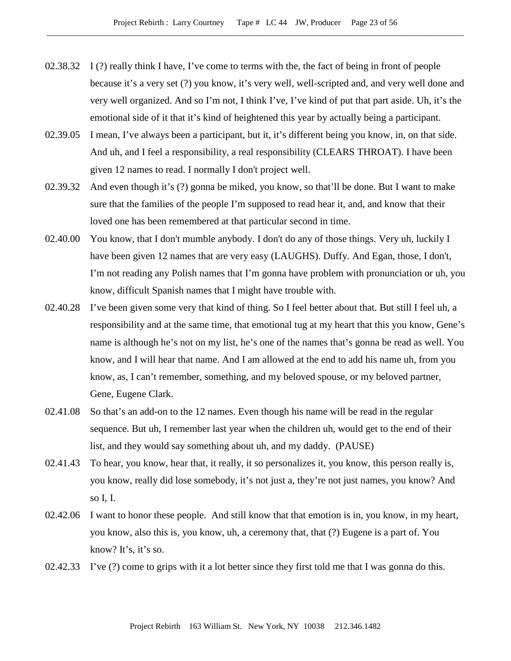- 02.38.32 I (?) really think I have, I've come to terms with the, the fact of being in front of people because it's a very set (?) you know, it's very well, well-scripted and, and very well done and very well organized. And so I'm not, I think I've, I've kind of put that part aside. Uh, it's the emotional side of it that it's kind of heightened this year by actually being a participant.
- 02.39.05 I mean, I've always been a participant, but it, it's different being you know, in, on that side. And uh, and I feel a responsibility, a real responsibility (CLEARS THROAT). I have been given 12 names to read. I normally I don't project well.
- 02.39.32 And even though it's (?) gonna be miked, you know, so that'll be done. But I want to make sure that the families of the people I'm supposed to read hear it, and, and know that their loved one has been remembered at that particular second in time.
- 02.40.00 You know, that I don't mumble anybody. I don't do any of those things. Very uh, luckily I have been given 12 names that are very easy (LAUGHS). Duffy. And Egan, those, I don't, I'm not reading any Polish names that I'm gonna have problem with pronunciation or uh, you know, difficult Spanish names that I might have trouble with.
- 02.40.28 I've been given some very that kind of thing. So I feel better about that. But still I feel uh, a responsibility and at the same time, that emotional tug at my heart that this you know, Gene's name is although he's not on my list, he's one of the names that's gonna be read as well. You know, and I will hear that name. And I am allowed at the end to add his name uh, from you know, as, I can't remember, something, and my beloved spouse, or my beloved partner, Gene, Eugene Clark.
- 02.41.08 So that's an add-on to the 12 names. Even though his name will be read in the regular sequence. But uh, I remember last year when the children uh, would get to the end of their list, and they would say something about uh, and my daddy. (PAUSE)
- 02.41.43 To hear, you know, hear that, it really, it so personalizes it, you know, this person really is, you know, really did lose somebody, it's not just a, they're not just names, you know? And so I, I.
- 02.42.06 I want to honor these people. And still know that that emotion is in, you know, in my heart, you know, also this is, you know, uh, a ceremony that, that (?) Eugene is a part of. You know? It's, it's so.
- 02.42.33 I've (?) come to grips with it a lot better since they first told me that I was gonna do this.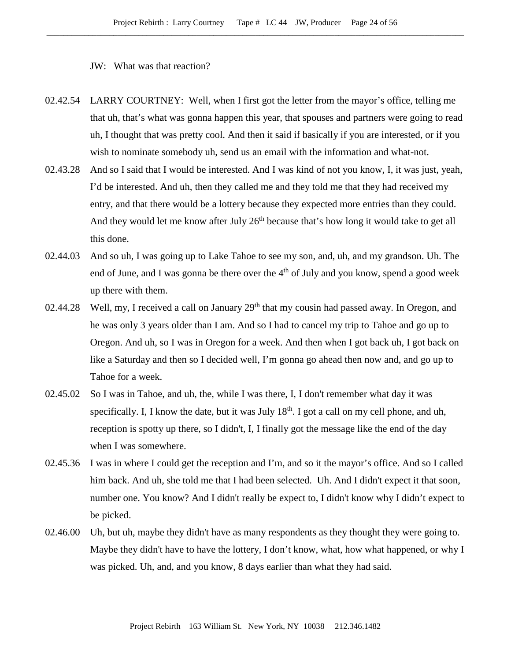JW: What was that reaction?

- 02.42.54 LARRY COURTNEY: Well, when I first got the letter from the mayor's office, telling me that uh, that's what was gonna happen this year, that spouses and partners were going to read uh, I thought that was pretty cool. And then it said if basically if you are interested, or if you wish to nominate somebody uh, send us an email with the information and what-not.
- 02.43.28 And so I said that I would be interested. And I was kind of not you know, I, it was just, yeah, I'd be interested. And uh, then they called me and they told me that they had received my entry, and that there would be a lottery because they expected more entries than they could. And they would let me know after July  $26<sup>th</sup>$  because that's how long it would take to get all this done.
- 02.44.03 And so uh, I was going up to Lake Tahoe to see my son, and, uh, and my grandson. Uh. The end of June, and I was gonna be there over the  $4<sup>th</sup>$  of July and you know, spend a good week up there with them.
- 02.44.28 Well, my, I received a call on January  $29<sup>th</sup>$  that my cousin had passed away. In Oregon, and he was only 3 years older than I am. And so I had to cancel my trip to Tahoe and go up to Oregon. And uh, so I was in Oregon for a week. And then when I got back uh, I got back on like a Saturday and then so I decided well, I'm gonna go ahead then now and, and go up to Tahoe for a week.
- 02.45.02 So I was in Tahoe, and uh, the, while I was there, I, I don't remember what day it was specifically. I, I know the date, but it was July  $18<sup>th</sup>$ . I got a call on my cell phone, and uh, reception is spotty up there, so I didn't, I, I finally got the message like the end of the day when I was somewhere.
- 02.45.36 I was in where I could get the reception and I'm, and so it the mayor's office. And so I called him back. And uh, she told me that I had been selected. Uh. And I didn't expect it that soon, number one. You know? And I didn't really be expect to, I didn't know why I didn't expect to be picked.
- 02.46.00 Uh, but uh, maybe they didn't have as many respondents as they thought they were going to. Maybe they didn't have to have the lottery, I don't know, what, how what happened, or why I was picked. Uh, and, and you know, 8 days earlier than what they had said.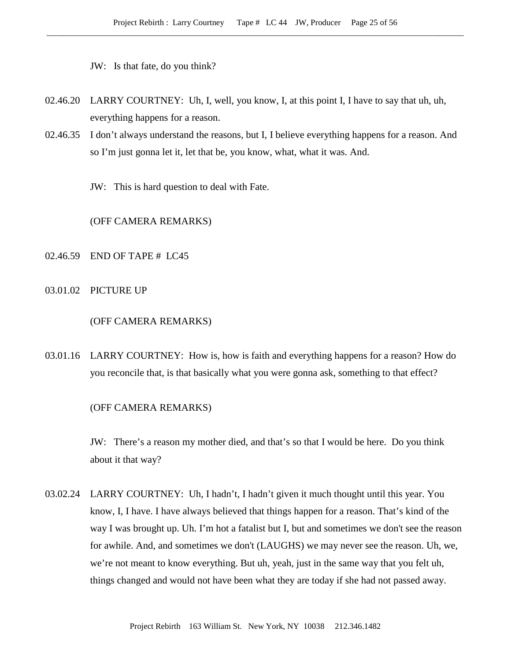JW: Is that fate, do you think?

- 02.46.20 LARRY COURTNEY: Uh, I, well, you know, I, at this point I, I have to say that uh, uh, everything happens for a reason.
- 02.46.35 I don't always understand the reasons, but I, I believe everything happens for a reason. And so I'm just gonna let it, let that be, you know, what, what it was. And.
	- JW: This is hard question to deal with Fate.

# (OFF CAMERA REMARKS)

#### 02.46.59 END OF TAPE # LC45

03.01.02 PICTURE UP

## (OFF CAMERA REMARKS)

03.01.16 LARRY COURTNEY: How is, how is faith and everything happens for a reason? How do you reconcile that, is that basically what you were gonna ask, something to that effect?

#### (OFF CAMERA REMARKS)

JW: There's a reason my mother died, and that's so that I would be here. Do you think about it that way?

03.02.24 LARRY COURTNEY: Uh, I hadn't, I hadn't given it much thought until this year. You know, I, I have. I have always believed that things happen for a reason. That's kind of the way I was brought up. Uh. I'm hot a fatalist but I, but and sometimes we don't see the reason for awhile. And, and sometimes we don't (LAUGHS) we may never see the reason. Uh, we, we're not meant to know everything. But uh, yeah, just in the same way that you felt uh, things changed and would not have been what they are today if she had not passed away.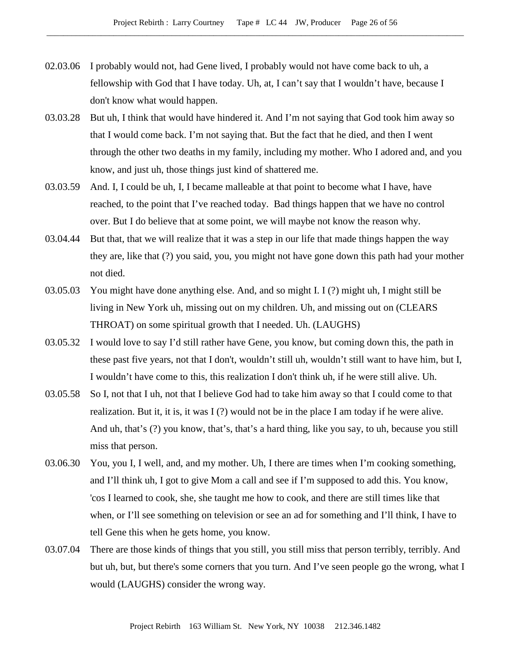- 02.03.06 I probably would not, had Gene lived, I probably would not have come back to uh, a fellowship with God that I have today. Uh, at, I can't say that I wouldn't have, because I don't know what would happen.
- 03.03.28 But uh, I think that would have hindered it. And I'm not saying that God took him away so that I would come back. I'm not saying that. But the fact that he died, and then I went through the other two deaths in my family, including my mother. Who I adored and, and you know, and just uh, those things just kind of shattered me.
- 03.03.59 And. I, I could be uh, I, I became malleable at that point to become what I have, have reached, to the point that I've reached today. Bad things happen that we have no control over. But I do believe that at some point, we will maybe not know the reason why.
- 03.04.44 But that, that we will realize that it was a step in our life that made things happen the way they are, like that (?) you said, you, you might not have gone down this path had your mother not died.
- 03.05.03 You might have done anything else. And, and so might I. I (?) might uh, I might still be living in New York uh, missing out on my children. Uh, and missing out on (CLEARS THROAT) on some spiritual growth that I needed. Uh. (LAUGHS)
- 03.05.32 I would love to say I'd still rather have Gene, you know, but coming down this, the path in these past five years, not that I don't, wouldn't still uh, wouldn't still want to have him, but I, I wouldn't have come to this, this realization I don't think uh, if he were still alive. Uh.
- 03.05.58 So I, not that I uh, not that I believe God had to take him away so that I could come to that realization. But it, it is, it was  $I(?)$  would not be in the place I am today if he were alive. And uh, that's (?) you know, that's, that's a hard thing, like you say, to uh, because you still miss that person.
- 03.06.30 You, you I, I well, and, and my mother. Uh, I there are times when I'm cooking something, and I'll think uh, I got to give Mom a call and see if I'm supposed to add this. You know, 'cos I learned to cook, she, she taught me how to cook, and there are still times like that when, or I'll see something on television or see an ad for something and I'll think, I have to tell Gene this when he gets home, you know.
- 03.07.04 There are those kinds of things that you still, you still miss that person terribly, terribly. And but uh, but, but there's some corners that you turn. And I've seen people go the wrong, what I would (LAUGHS) consider the wrong way.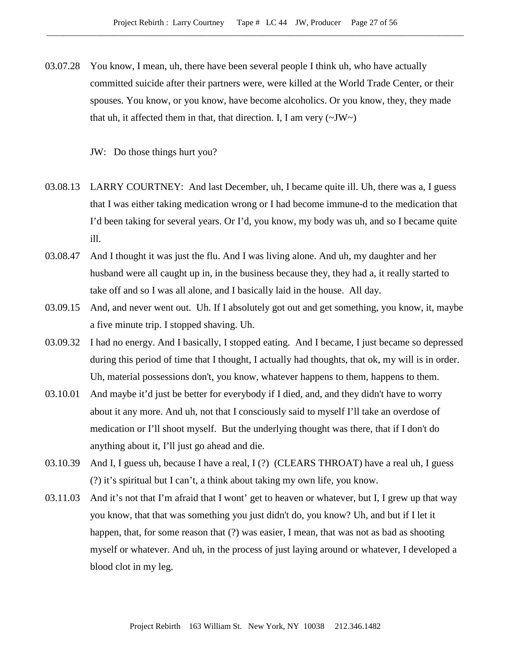03.07.28 You know, I mean, uh, there have been several people I think uh, who have actually committed suicide after their partners were, were killed at the World Trade Center, or their spouses. You know, or you know, have become alcoholics. Or you know, they, they made that uh, it affected them in that, that direction. I, I am very  $(\sim JW)$ 

JW: Do those things hurt you?

- 03.08.13 LARRY COURTNEY: And last December, uh, I became quite ill. Uh, there was a, I guess that I was either taking medication wrong or I had become immune-d to the medication that I'd been taking for several years. Or I'd, you know, my body was uh, and so I became quite ill.
- 03.08.47 And I thought it was just the flu. And I was living alone. And uh, my daughter and her husband were all caught up in, in the business because they, they had a, it really started to take off and so I was all alone, and I basically laid in the house. All day.
- 03.09.15 And, and never went out. Uh. If I absolutely got out and get something, you know, it, maybe a five minute trip. I stopped shaving. Uh.
- 03.09.32 I had no energy. And I basically, I stopped eating. And I became, I just became so depressed during this period of time that I thought, I actually had thoughts, that ok, my will is in order. Uh, material possessions don't, you know, whatever happens to them, happens to them.
- 03.10.01 And maybe it'd just be better for everybody if I died, and, and they didn't have to worry about it any more. And uh, not that I consciously said to myself I'll take an overdose of medication or I'll shoot myself. But the underlying thought was there, that if I don't do anything about it, I'll just go ahead and die.
- 03.10.39 And I, I guess uh, because I have a real, I (?) (CLEARS THROAT) have a real uh, I guess (?) it's spiritual but I can't, a think about taking my own life, you know.
- 03.11.03 And it's not that I'm afraid that I wont' get to heaven or whatever, but I, I grew up that way you know, that that was something you just didn't do, you know? Uh, and but if I let it happen, that, for some reason that (?) was easier, I mean, that was not as bad as shooting myself or whatever. And uh, in the process of just laying around or whatever, I developed a blood clot in my leg.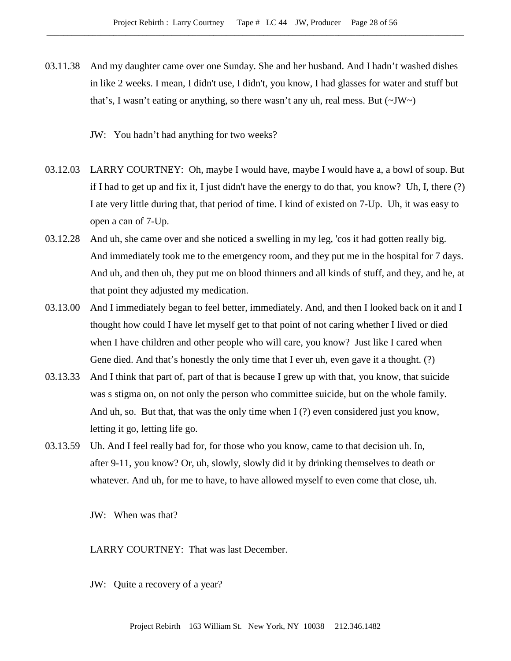- 03.11.38 And my daughter came over one Sunday. She and her husband. And I hadn't washed dishes in like 2 weeks. I mean, I didn't use, I didn't, you know, I had glasses for water and stuff but that's, I wasn't eating or anything, so there wasn't any uh, real mess. But  $(\sim JW)$ 
	- JW: You hadn't had anything for two weeks?
- 03.12.03 LARRY COURTNEY: Oh, maybe I would have, maybe I would have a, a bowl of soup. But if I had to get up and fix it, I just didn't have the energy to do that, you know? Uh, I, there (?) I ate very little during that, that period of time. I kind of existed on 7-Up. Uh, it was easy to open a can of 7-Up.
- 03.12.28 And uh, she came over and she noticed a swelling in my leg, 'cos it had gotten really big. And immediately took me to the emergency room, and they put me in the hospital for 7 days. And uh, and then uh, they put me on blood thinners and all kinds of stuff, and they, and he, at that point they adjusted my medication.
- 03.13.00 And I immediately began to feel better, immediately. And, and then I looked back on it and I thought how could I have let myself get to that point of not caring whether I lived or died when I have children and other people who will care, you know? Just like I cared when Gene died. And that's honestly the only time that I ever uh, even gave it a thought. (?)
- 03.13.33 And I think that part of, part of that is because I grew up with that, you know, that suicide was s stigma on, on not only the person who committee suicide, but on the whole family. And uh, so. But that, that was the only time when I (?) even considered just you know, letting it go, letting life go.
- 03.13.59 Uh. And I feel really bad for, for those who you know, came to that decision uh. In, after 9-11, you know? Or, uh, slowly, slowly did it by drinking themselves to death or whatever. And uh, for me to have, to have allowed myself to even come that close, uh.

JW: When was that?

LARRY COURTNEY: That was last December.

JW: Quite a recovery of a year?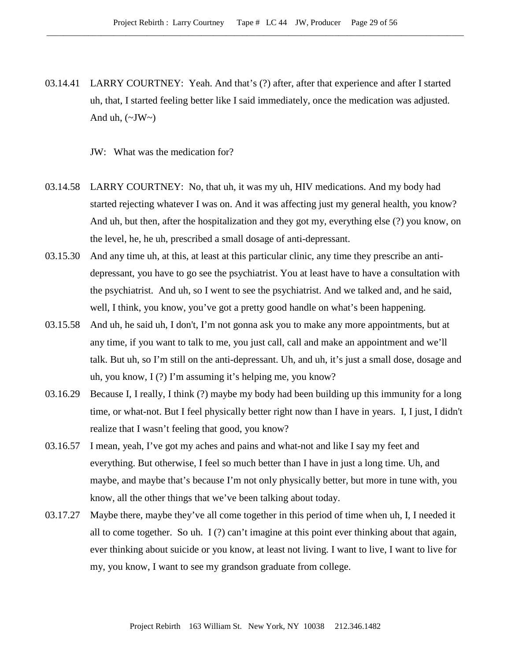03.14.41 LARRY COURTNEY: Yeah. And that's (?) after, after that experience and after I started uh, that, I started feeling better like I said immediately, once the medication was adjusted. And uh,  $(\sim JW \sim)$ 

JW: What was the medication for?

- 03.14.58 LARRY COURTNEY: No, that uh, it was my uh, HIV medications. And my body had started rejecting whatever I was on. And it was affecting just my general health, you know? And uh, but then, after the hospitalization and they got my, everything else (?) you know, on the level, he, he uh, prescribed a small dosage of anti-depressant.
- 03.15.30 And any time uh, at this, at least at this particular clinic, any time they prescribe an antidepressant, you have to go see the psychiatrist. You at least have to have a consultation with the psychiatrist. And uh, so I went to see the psychiatrist. And we talked and, and he said, well, I think, you know, you've got a pretty good handle on what's been happening.
- 03.15.58 And uh, he said uh, I don't, I'm not gonna ask you to make any more appointments, but at any time, if you want to talk to me, you just call, call and make an appointment and we'll talk. But uh, so I'm still on the anti-depressant. Uh, and uh, it's just a small dose, dosage and uh, you know, I (?) I'm assuming it's helping me, you know?
- 03.16.29 Because I, I really, I think (?) maybe my body had been building up this immunity for a long time, or what-not. But I feel physically better right now than I have in years. I, I just, I didn't realize that I wasn't feeling that good, you know?
- 03.16.57 I mean, yeah, I've got my aches and pains and what-not and like I say my feet and everything. But otherwise, I feel so much better than I have in just a long time. Uh, and maybe, and maybe that's because I'm not only physically better, but more in tune with, you know, all the other things that we've been talking about today.
- 03.17.27 Maybe there, maybe they've all come together in this period of time when uh, I, I needed it all to come together. So uh. I (?) can't imagine at this point ever thinking about that again, ever thinking about suicide or you know, at least not living. I want to live, I want to live for my, you know, I want to see my grandson graduate from college.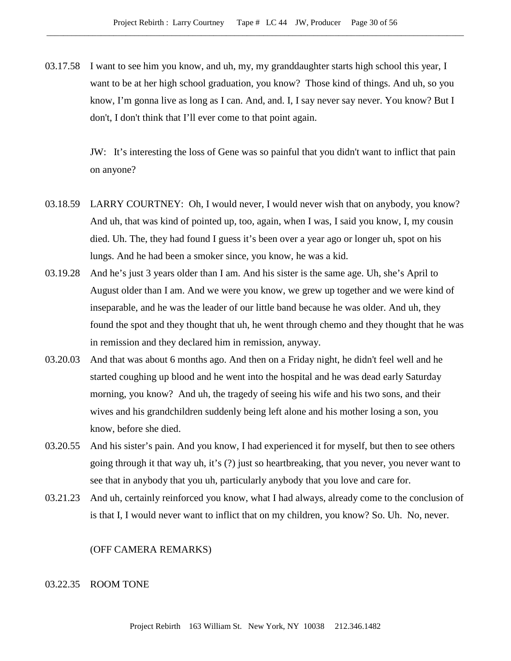03.17.58 I want to see him you know, and uh, my, my granddaughter starts high school this year, I want to be at her high school graduation, you know? Those kind of things. And uh, so you know, I'm gonna live as long as I can. And, and. I, I say never say never. You know? But I don't, I don't think that I'll ever come to that point again.

> JW: It's interesting the loss of Gene was so painful that you didn't want to inflict that pain on anyone?

- 03.18.59 LARRY COURTNEY: Oh, I would never, I would never wish that on anybody, you know? And uh, that was kind of pointed up, too, again, when I was, I said you know, I, my cousin died. Uh. The, they had found I guess it's been over a year ago or longer uh, spot on his lungs. And he had been a smoker since, you know, he was a kid.
- 03.19.28 And he's just 3 years older than I am. And his sister is the same age. Uh, she's April to August older than I am. And we were you know, we grew up together and we were kind of inseparable, and he was the leader of our little band because he was older. And uh, they found the spot and they thought that uh, he went through chemo and they thought that he was in remission and they declared him in remission, anyway.
- 03.20.03 And that was about 6 months ago. And then on a Friday night, he didn't feel well and he started coughing up blood and he went into the hospital and he was dead early Saturday morning, you know? And uh, the tragedy of seeing his wife and his two sons, and their wives and his grandchildren suddenly being left alone and his mother losing a son, you know, before she died.
- 03.20.55 And his sister's pain. And you know, I had experienced it for myself, but then to see others going through it that way uh, it's (?) just so heartbreaking, that you never, you never want to see that in anybody that you uh, particularly anybody that you love and care for.
- 03.21.23 And uh, certainly reinforced you know, what I had always, already come to the conclusion of is that I, I would never want to inflict that on my children, you know? So. Uh. No, never.

#### (OFF CAMERA REMARKS)

## 03.22.35 ROOM TONE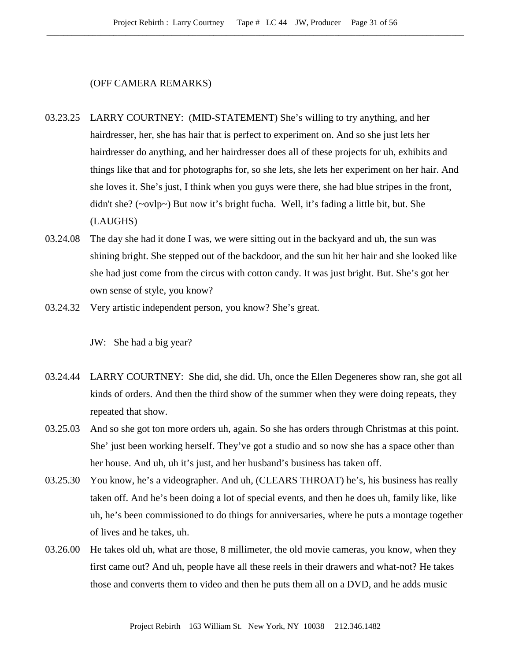#### (OFF CAMERA REMARKS)

- 03.23.25 LARRY COURTNEY: (MID-STATEMENT) She's willing to try anything, and her hairdresser, her, she has hair that is perfect to experiment on. And so she just lets her hairdresser do anything, and her hairdresser does all of these projects for uh, exhibits and things like that and for photographs for, so she lets, she lets her experiment on her hair. And she loves it. She's just, I think when you guys were there, she had blue stripes in the front, didn't she? (~ovlp~) But now it's bright fucha. Well, it's fading a little bit, but. She (LAUGHS)
- 03.24.08 The day she had it done I was, we were sitting out in the backyard and uh, the sun was shining bright. She stepped out of the backdoor, and the sun hit her hair and she looked like she had just come from the circus with cotton candy. It was just bright. But. She's got her own sense of style, you know?
- 03.24.32 Very artistic independent person, you know? She's great.

- 03.24.44 LARRY COURTNEY: She did, she did. Uh, once the Ellen Degeneres show ran, she got all kinds of orders. And then the third show of the summer when they were doing repeats, they repeated that show.
- 03.25.03 And so she got ton more orders uh, again. So she has orders through Christmas at this point. She' just been working herself. They've got a studio and so now she has a space other than her house. And uh, uh it's just, and her husband's business has taken off.
- 03.25.30 You know, he's a videographer. And uh, (CLEARS THROAT) he's, his business has really taken off. And he's been doing a lot of special events, and then he does uh, family like, like uh, he's been commissioned to do things for anniversaries, where he puts a montage together of lives and he takes, uh.
- 03.26.00 He takes old uh, what are those, 8 millimeter, the old movie cameras, you know, when they first came out? And uh, people have all these reels in their drawers and what-not? He takes those and converts them to video and then he puts them all on a DVD, and he adds music

JW: She had a big year?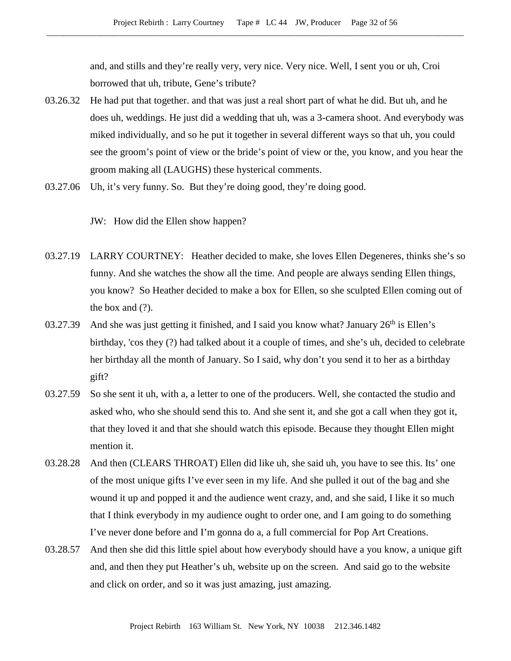and, and stills and they're really very, very nice. Very nice. Well, I sent you or uh, Croi borrowed that uh, tribute, Gene's tribute?

- 03.26.32 He had put that together. and that was just a real short part of what he did. But uh, and he does uh, weddings. He just did a wedding that uh, was a 3-camera shoot. And everybody was miked individually, and so he put it together in several different ways so that uh, you could see the groom's point of view or the bride's point of view or the, you know, and you hear the groom making all (LAUGHS) these hysterical comments.
- 03.27.06 Uh, it's very funny. So. But they're doing good, they're doing good.

JW: How did the Ellen show happen?

- 03.27.19 LARRY COURTNEY: Heather decided to make, she loves Ellen Degeneres, thinks she's so funny. And she watches the show all the time. And people are always sending Ellen things, you know? So Heather decided to make a box for Ellen, so she sculpted Ellen coming out of the box and (?).
- 03.27.39 And she was just getting it finished, and I said you know what? January  $26<sup>th</sup>$  is Ellen's birthday, 'cos they (?) had talked about it a couple of times, and she's uh, decided to celebrate her birthday all the month of January. So I said, why don't you send it to her as a birthday gift?
- 03.27.59 So she sent it uh, with a, a letter to one of the producers. Well, she contacted the studio and asked who, who she should send this to. And she sent it, and she got a call when they got it, that they loved it and that she should watch this episode. Because they thought Ellen might mention it.
- 03.28.28 And then (CLEARS THROAT) Ellen did like uh, she said uh, you have to see this. Its' one of the most unique gifts I've ever seen in my life. And she pulled it out of the bag and she wound it up and popped it and the audience went crazy, and, and she said, I like it so much that I think everybody in my audience ought to order one, and I am going to do something I've never done before and I'm gonna do a, a full commercial for Pop Art Creations.
- 03.28.57 And then she did this little spiel about how everybody should have a you know, a unique gift and, and then they put Heather's uh, website up on the screen. And said go to the website and click on order, and so it was just amazing, just amazing.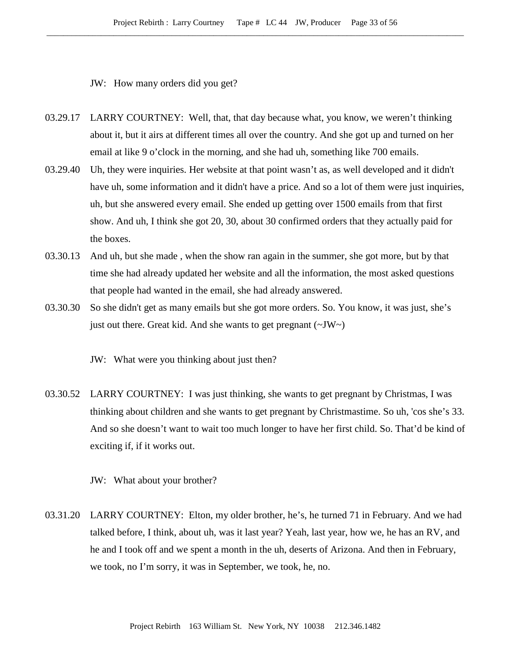JW: How many orders did you get?

- 03.29.17 LARRY COURTNEY: Well, that, that day because what, you know, we weren't thinking about it, but it airs at different times all over the country. And she got up and turned on her email at like 9 o'clock in the morning, and she had uh, something like 700 emails.
- 03.29.40 Uh, they were inquiries. Her website at that point wasn't as, as well developed and it didn't have uh, some information and it didn't have a price. And so a lot of them were just inquiries, uh, but she answered every email. She ended up getting over 1500 emails from that first show. And uh, I think she got 20, 30, about 30 confirmed orders that they actually paid for the boxes.
- 03.30.13 And uh, but she made , when the show ran again in the summer, she got more, but by that time she had already updated her website and all the information, the most asked questions that people had wanted in the email, she had already answered.
- 03.30.30 So she didn't get as many emails but she got more orders. So. You know, it was just, she's just out there. Great kid. And she wants to get pregnant  $(\sim JW \sim)$

JW: What were you thinking about just then?

03.30.52 LARRY COURTNEY: I was just thinking, she wants to get pregnant by Christmas, I was thinking about children and she wants to get pregnant by Christmastime. So uh, 'cos she's 33. And so she doesn't want to wait too much longer to have her first child. So. That'd be kind of exciting if, if it works out.

JW: What about your brother?

03.31.20 LARRY COURTNEY: Elton, my older brother, he's, he turned 71 in February. And we had talked before, I think, about uh, was it last year? Yeah, last year, how we, he has an RV, and he and I took off and we spent a month in the uh, deserts of Arizona. And then in February, we took, no I'm sorry, it was in September, we took, he, no.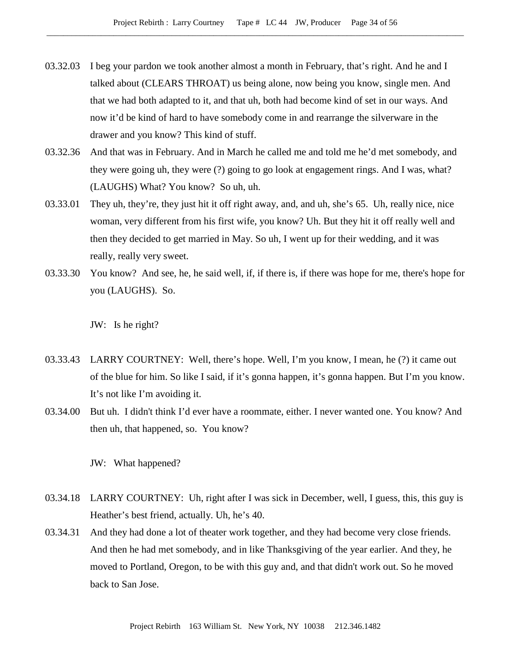- 03.32.03 I beg your pardon we took another almost a month in February, that's right. And he and I talked about (CLEARS THROAT) us being alone, now being you know, single men. And that we had both adapted to it, and that uh, both had become kind of set in our ways. And now it'd be kind of hard to have somebody come in and rearrange the silverware in the drawer and you know? This kind of stuff.
- 03.32.36 And that was in February. And in March he called me and told me he'd met somebody, and they were going uh, they were (?) going to go look at engagement rings. And I was, what? (LAUGHS) What? You know? So uh, uh.
- 03.33.01 They uh, they're, they just hit it off right away, and, and uh, she's 65. Uh, really nice, nice woman, very different from his first wife, you know? Uh. But they hit it off really well and then they decided to get married in May. So uh, I went up for their wedding, and it was really, really very sweet.
- 03.33.30 You know? And see, he, he said well, if, if there is, if there was hope for me, there's hope for you (LAUGHS). So.

JW: Is he right?

- 03.33.43 LARRY COURTNEY: Well, there's hope. Well, I'm you know, I mean, he (?) it came out of the blue for him. So like I said, if it's gonna happen, it's gonna happen. But I'm you know. It's not like I'm avoiding it.
- 03.34.00 But uh. I didn't think I'd ever have a roommate, either. I never wanted one. You know? And then uh, that happened, so. You know?

JW: What happened?

- 03.34.18 LARRY COURTNEY: Uh, right after I was sick in December, well, I guess, this, this guy is Heather's best friend, actually. Uh, he's 40.
- 03.34.31 And they had done a lot of theater work together, and they had become very close friends. And then he had met somebody, and in like Thanksgiving of the year earlier. And they, he moved to Portland, Oregon, to be with this guy and, and that didn't work out. So he moved back to San Jose.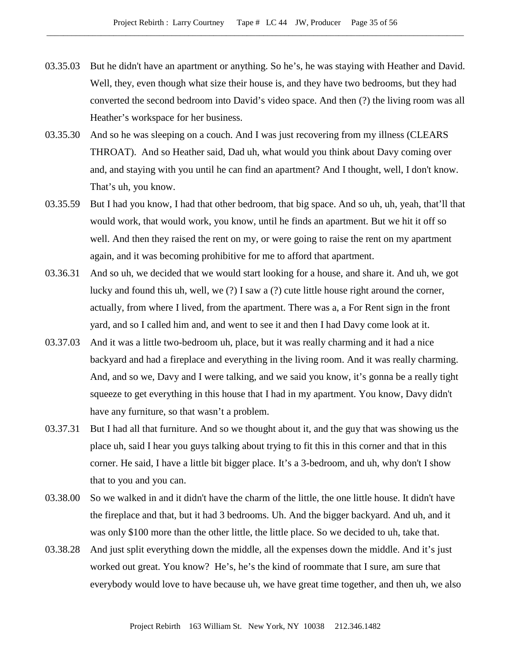- 03.35.03 But he didn't have an apartment or anything. So he's, he was staying with Heather and David. Well, they, even though what size their house is, and they have two bedrooms, but they had converted the second bedroom into David's video space. And then (?) the living room was all Heather's workspace for her business.
- 03.35.30 And so he was sleeping on a couch. And I was just recovering from my illness (CLEARS THROAT). And so Heather said, Dad uh, what would you think about Davy coming over and, and staying with you until he can find an apartment? And I thought, well, I don't know. That's uh, you know.
- 03.35.59 But I had you know, I had that other bedroom, that big space. And so uh, uh, yeah, that'll that would work, that would work, you know, until he finds an apartment. But we hit it off so well. And then they raised the rent on my, or were going to raise the rent on my apartment again, and it was becoming prohibitive for me to afford that apartment.
- 03.36.31 And so uh, we decided that we would start looking for a house, and share it. And uh, we got lucky and found this uh, well, we (?) I saw a (?) cute little house right around the corner, actually, from where I lived, from the apartment. There was a, a For Rent sign in the front yard, and so I called him and, and went to see it and then I had Davy come look at it.
- 03.37.03 And it was a little two-bedroom uh, place, but it was really charming and it had a nice backyard and had a fireplace and everything in the living room. And it was really charming. And, and so we, Davy and I were talking, and we said you know, it's gonna be a really tight squeeze to get everything in this house that I had in my apartment. You know, Davy didn't have any furniture, so that wasn't a problem.
- 03.37.31 But I had all that furniture. And so we thought about it, and the guy that was showing us the place uh, said I hear you guys talking about trying to fit this in this corner and that in this corner. He said, I have a little bit bigger place. It's a 3-bedroom, and uh, why don't I show that to you and you can.
- 03.38.00 So we walked in and it didn't have the charm of the little, the one little house. It didn't have the fireplace and that, but it had 3 bedrooms. Uh. And the bigger backyard. And uh, and it was only \$100 more than the other little, the little place. So we decided to uh, take that.
- 03.38.28 And just split everything down the middle, all the expenses down the middle. And it's just worked out great. You know? He's, he's the kind of roommate that I sure, am sure that everybody would love to have because uh, we have great time together, and then uh, we also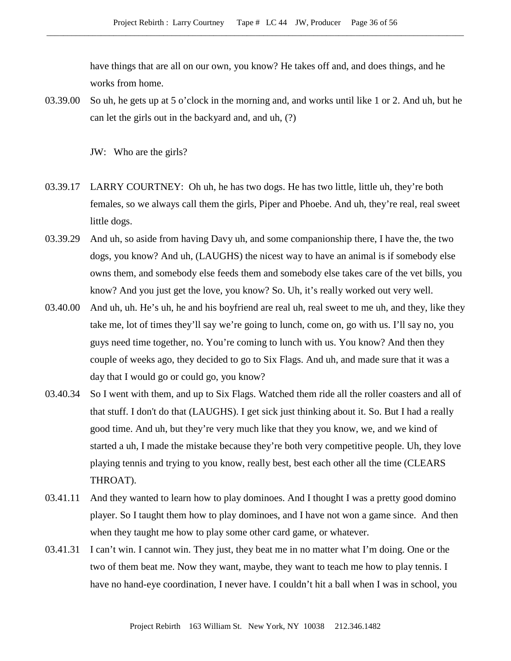have things that are all on our own, you know? He takes off and, and does things, and he works from home.

03.39.00 So uh, he gets up at 5 o'clock in the morning and, and works until like 1 or 2. And uh, but he can let the girls out in the backyard and, and uh, (?)

JW: Who are the girls?

- 03.39.17 LARRY COURTNEY: Oh uh, he has two dogs. He has two little, little uh, they're both females, so we always call them the girls, Piper and Phoebe. And uh, they're real, real sweet little dogs.
- 03.39.29 And uh, so aside from having Davy uh, and some companionship there, I have the, the two dogs, you know? And uh, (LAUGHS) the nicest way to have an animal is if somebody else owns them, and somebody else feeds them and somebody else takes care of the vet bills, you know? And you just get the love, you know? So. Uh, it's really worked out very well.
- 03.40.00 And uh, uh. He's uh, he and his boyfriend are real uh, real sweet to me uh, and they, like they take me, lot of times they'll say we're going to lunch, come on, go with us. I'll say no, you guys need time together, no. You're coming to lunch with us. You know? And then they couple of weeks ago, they decided to go to Six Flags. And uh, and made sure that it was a day that I would go or could go, you know?
- 03.40.34 So I went with them, and up to Six Flags. Watched them ride all the roller coasters and all of that stuff. I don't do that (LAUGHS). I get sick just thinking about it. So. But I had a really good time. And uh, but they're very much like that they you know, we, and we kind of started a uh, I made the mistake because they're both very competitive people. Uh, they love playing tennis and trying to you know, really best, best each other all the time (CLEARS THROAT).
- 03.41.11 And they wanted to learn how to play dominoes. And I thought I was a pretty good domino player. So I taught them how to play dominoes, and I have not won a game since. And then when they taught me how to play some other card game, or whatever.
- 03.41.31 I can't win. I cannot win. They just, they beat me in no matter what I'm doing. One or the two of them beat me. Now they want, maybe, they want to teach me how to play tennis. I have no hand-eye coordination, I never have. I couldn't hit a ball when I was in school, you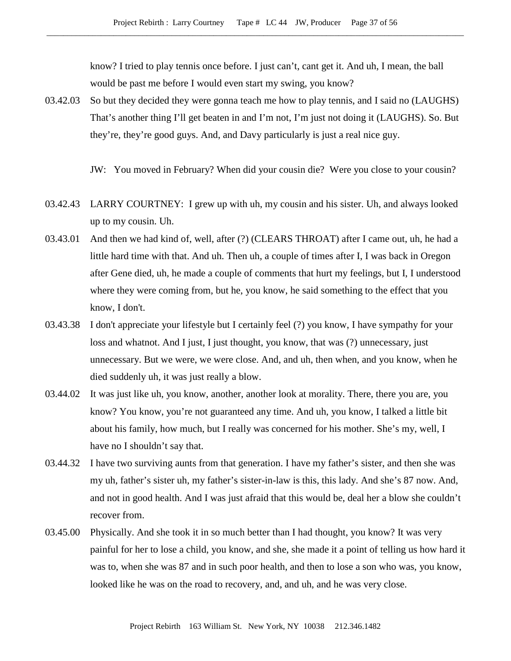know? I tried to play tennis once before. I just can't, cant get it. And uh, I mean, the ball would be past me before I would even start my swing, you know?

03.42.03 So but they decided they were gonna teach me how to play tennis, and I said no (LAUGHS) That's another thing I'll get beaten in and I'm not, I'm just not doing it (LAUGHS). So. But they're, they're good guys. And, and Davy particularly is just a real nice guy.

JW: You moved in February? When did your cousin die? Were you close to your cousin?

- 03.42.43 LARRY COURTNEY: I grew up with uh, my cousin and his sister. Uh, and always looked up to my cousin. Uh.
- 03.43.01 And then we had kind of, well, after (?) (CLEARS THROAT) after I came out, uh, he had a little hard time with that. And uh. Then uh, a couple of times after I, I was back in Oregon after Gene died, uh, he made a couple of comments that hurt my feelings, but I, I understood where they were coming from, but he, you know, he said something to the effect that you know, I don't.
- 03.43.38 I don't appreciate your lifestyle but I certainly feel (?) you know, I have sympathy for your loss and whatnot. And I just, I just thought, you know, that was (?) unnecessary, just unnecessary. But we were, we were close. And, and uh, then when, and you know, when he died suddenly uh, it was just really a blow.
- 03.44.02 It was just like uh, you know, another, another look at morality. There, there you are, you know? You know, you're not guaranteed any time. And uh, you know, I talked a little bit about his family, how much, but I really was concerned for his mother. She's my, well, I have no I shouldn't say that.
- 03.44.32 I have two surviving aunts from that generation. I have my father's sister, and then she was my uh, father's sister uh, my father's sister-in-law is this, this lady. And she's 87 now. And, and not in good health. And I was just afraid that this would be, deal her a blow she couldn't recover from.
- 03.45.00 Physically. And she took it in so much better than I had thought, you know? It was very painful for her to lose a child, you know, and she, she made it a point of telling us how hard it was to, when she was 87 and in such poor health, and then to lose a son who was, you know, looked like he was on the road to recovery, and, and uh, and he was very close.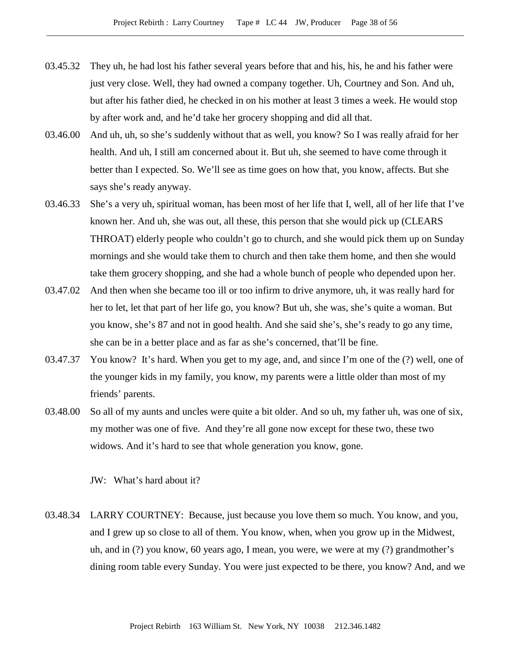- 03.45.32 They uh, he had lost his father several years before that and his, his, he and his father were just very close. Well, they had owned a company together. Uh, Courtney and Son. And uh, but after his father died, he checked in on his mother at least 3 times a week. He would stop by after work and, and he'd take her grocery shopping and did all that.
- 03.46.00 And uh, uh, so she's suddenly without that as well, you know? So I was really afraid for her health. And uh, I still am concerned about it. But uh, she seemed to have come through it better than I expected. So. We'll see as time goes on how that, you know, affects. But she says she's ready anyway.
- 03.46.33 She's a very uh, spiritual woman, has been most of her life that I, well, all of her life that I've known her. And uh, she was out, all these, this person that she would pick up (CLEARS THROAT) elderly people who couldn't go to church, and she would pick them up on Sunday mornings and she would take them to church and then take them home, and then she would take them grocery shopping, and she had a whole bunch of people who depended upon her.
- 03.47.02 And then when she became too ill or too infirm to drive anymore, uh, it was really hard for her to let, let that part of her life go, you know? But uh, she was, she's quite a woman. But you know, she's 87 and not in good health. And she said she's, she's ready to go any time, she can be in a better place and as far as she's concerned, that'll be fine.
- 03.47.37 You know? It's hard. When you get to my age, and, and since I'm one of the (?) well, one of the younger kids in my family, you know, my parents were a little older than most of my friends' parents.
- 03.48.00 So all of my aunts and uncles were quite a bit older. And so uh, my father uh, was one of six, my mother was one of five. And they're all gone now except for these two, these two widows. And it's hard to see that whole generation you know, gone.

JW: What's hard about it?

03.48.34 LARRY COURTNEY: Because, just because you love them so much. You know, and you, and I grew up so close to all of them. You know, when, when you grow up in the Midwest, uh, and in (?) you know, 60 years ago, I mean, you were, we were at my (?) grandmother's dining room table every Sunday. You were just expected to be there, you know? And, and we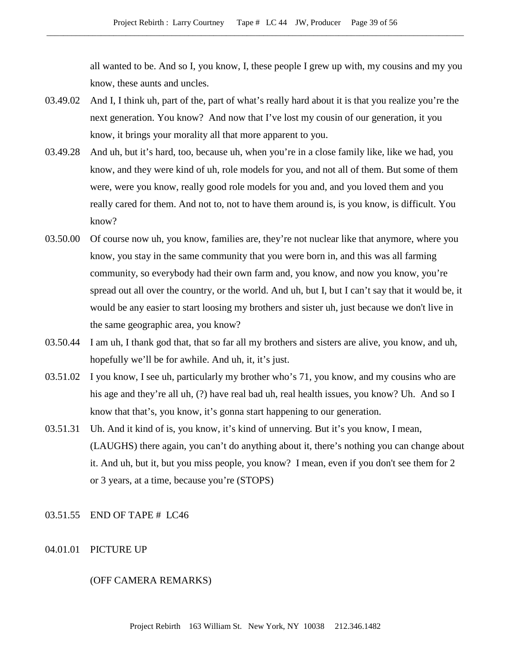all wanted to be. And so I, you know, I, these people I grew up with, my cousins and my you know, these aunts and uncles.

- 03.49.02 And I, I think uh, part of the, part of what's really hard about it is that you realize you're the next generation. You know? And now that I've lost my cousin of our generation, it you know, it brings your morality all that more apparent to you.
- 03.49.28 And uh, but it's hard, too, because uh, when you're in a close family like, like we had, you know, and they were kind of uh, role models for you, and not all of them. But some of them were, were you know, really good role models for you and, and you loved them and you really cared for them. And not to, not to have them around is, is you know, is difficult. You know?
- 03.50.00 Of course now uh, you know, families are, they're not nuclear like that anymore, where you know, you stay in the same community that you were born in, and this was all farming community, so everybody had their own farm and, you know, and now you know, you're spread out all over the country, or the world. And uh, but I, but I can't say that it would be, it would be any easier to start loosing my brothers and sister uh, just because we don't live in the same geographic area, you know?
- 03.50.44 I am uh, I thank god that, that so far all my brothers and sisters are alive, you know, and uh, hopefully we'll be for awhile. And uh, it, it's just.
- 03.51.02 I you know, I see uh, particularly my brother who's 71, you know, and my cousins who are his age and they're all uh, (?) have real bad uh, real health issues, you know? Uh. And so I know that that's, you know, it's gonna start happening to our generation.
- 03.51.31 Uh. And it kind of is, you know, it's kind of unnerving. But it's you know, I mean, (LAUGHS) there again, you can't do anything about it, there's nothing you can change about it. And uh, but it, but you miss people, you know? I mean, even if you don't see them for 2 or 3 years, at a time, because you're (STOPS)

# 03.51.55 END OF TAPE # LC46

04.01.01 PICTURE UP

# (OFF CAMERA REMARKS)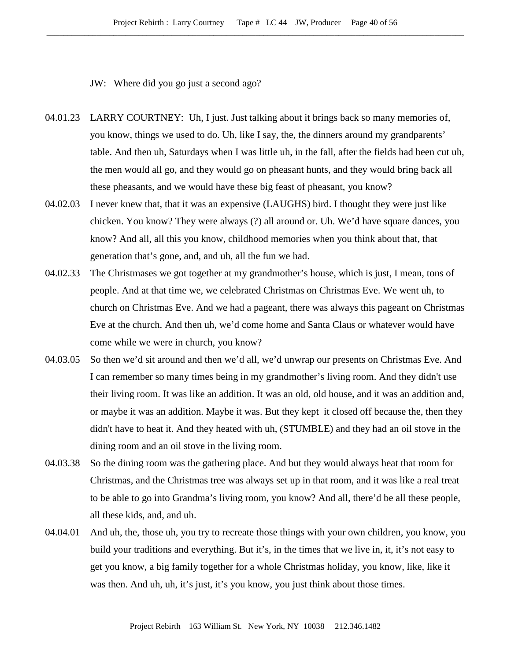JW: Where did you go just a second ago?

- 04.01.23 LARRY COURTNEY: Uh, I just. Just talking about it brings back so many memories of, you know, things we used to do. Uh, like I say, the, the dinners around my grandparents' table. And then uh, Saturdays when I was little uh, in the fall, after the fields had been cut uh, the men would all go, and they would go on pheasant hunts, and they would bring back all these pheasants, and we would have these big feast of pheasant, you know?
- 04.02.03 I never knew that, that it was an expensive (LAUGHS) bird. I thought they were just like chicken. You know? They were always (?) all around or. Uh. We'd have square dances, you know? And all, all this you know, childhood memories when you think about that, that generation that's gone, and, and uh, all the fun we had.
- 04.02.33 The Christmases we got together at my grandmother's house, which is just, I mean, tons of people. And at that time we, we celebrated Christmas on Christmas Eve. We went uh, to church on Christmas Eve. And we had a pageant, there was always this pageant on Christmas Eve at the church. And then uh, we'd come home and Santa Claus or whatever would have come while we were in church, you know?
- 04.03.05 So then we'd sit around and then we'd all, we'd unwrap our presents on Christmas Eve. And I can remember so many times being in my grandmother's living room. And they didn't use their living room. It was like an addition. It was an old, old house, and it was an addition and, or maybe it was an addition. Maybe it was. But they kept it closed off because the, then they didn't have to heat it. And they heated with uh, (STUMBLE) and they had an oil stove in the dining room and an oil stove in the living room.
- 04.03.38 So the dining room was the gathering place. And but they would always heat that room for Christmas, and the Christmas tree was always set up in that room, and it was like a real treat to be able to go into Grandma's living room, you know? And all, there'd be all these people, all these kids, and, and uh.
- 04.04.01 And uh, the, those uh, you try to recreate those things with your own children, you know, you build your traditions and everything. But it's, in the times that we live in, it, it's not easy to get you know, a big family together for a whole Christmas holiday, you know, like, like it was then. And uh, uh, it's just, it's you know, you just think about those times.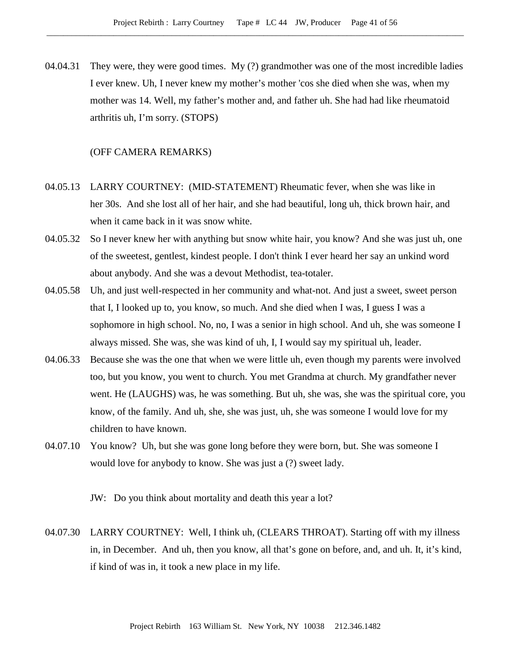04.04.31 They were, they were good times. My (?) grandmother was one of the most incredible ladies I ever knew. Uh, I never knew my mother's mother 'cos she died when she was, when my mother was 14. Well, my father's mother and, and father uh. She had had like rheumatoid arthritis uh, I'm sorry. (STOPS)

# (OFF CAMERA REMARKS)

- 04.05.13 LARRY COURTNEY: (MID-STATEMENT) Rheumatic fever, when she was like in her 30s. And she lost all of her hair, and she had beautiful, long uh, thick brown hair, and when it came back in it was snow white.
- 04.05.32 So I never knew her with anything but snow white hair, you know? And she was just uh, one of the sweetest, gentlest, kindest people. I don't think I ever heard her say an unkind word about anybody. And she was a devout Methodist, tea-totaler.
- 04.05.58 Uh, and just well-respected in her community and what-not. And just a sweet, sweet person that I, I looked up to, you know, so much. And she died when I was, I guess I was a sophomore in high school. No, no, I was a senior in high school. And uh, she was someone I always missed. She was, she was kind of uh, I, I would say my spiritual uh, leader.
- 04.06.33 Because she was the one that when we were little uh, even though my parents were involved too, but you know, you went to church. You met Grandma at church. My grandfather never went. He (LAUGHS) was, he was something. But uh, she was, she was the spiritual core, you know, of the family. And uh, she, she was just, uh, she was someone I would love for my children to have known.
- 04.07.10 You know? Uh, but she was gone long before they were born, but. She was someone I would love for anybody to know. She was just a (?) sweet lady.

JW: Do you think about mortality and death this year a lot?

04.07.30 LARRY COURTNEY: Well, I think uh, (CLEARS THROAT). Starting off with my illness in, in December. And uh, then you know, all that's gone on before, and, and uh. It, it's kind, if kind of was in, it took a new place in my life.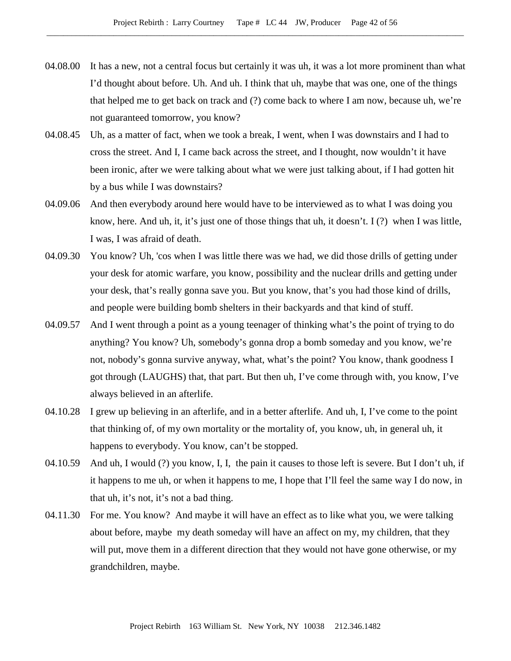- 04.08.00 It has a new, not a central focus but certainly it was uh, it was a lot more prominent than what I'd thought about before. Uh. And uh. I think that uh, maybe that was one, one of the things that helped me to get back on track and (?) come back to where I am now, because uh, we're not guaranteed tomorrow, you know?
- 04.08.45 Uh, as a matter of fact, when we took a break, I went, when I was downstairs and I had to cross the street. And I, I came back across the street, and I thought, now wouldn't it have been ironic, after we were talking about what we were just talking about, if I had gotten hit by a bus while I was downstairs?
- 04.09.06 And then everybody around here would have to be interviewed as to what I was doing you know, here. And uh, it, it's just one of those things that uh, it doesn't. I (?) when I was little, I was, I was afraid of death.
- 04.09.30 You know? Uh, 'cos when I was little there was we had, we did those drills of getting under your desk for atomic warfare, you know, possibility and the nuclear drills and getting under your desk, that's really gonna save you. But you know, that's you had those kind of drills, and people were building bomb shelters in their backyards and that kind of stuff.
- 04.09.57 And I went through a point as a young teenager of thinking what's the point of trying to do anything? You know? Uh, somebody's gonna drop a bomb someday and you know, we're not, nobody's gonna survive anyway, what, what's the point? You know, thank goodness I got through (LAUGHS) that, that part. But then uh, I've come through with, you know, I've always believed in an afterlife.
- 04.10.28 I grew up believing in an afterlife, and in a better afterlife. And uh, I, I've come to the point that thinking of, of my own mortality or the mortality of, you know, uh, in general uh, it happens to everybody. You know, can't be stopped.
- 04.10.59 And uh, I would (?) you know, I, I, the pain it causes to those left is severe. But I don't uh, if it happens to me uh, or when it happens to me, I hope that I'll feel the same way I do now, in that uh, it's not, it's not a bad thing.
- 04.11.30 For me. You know? And maybe it will have an effect as to like what you, we were talking about before, maybe my death someday will have an affect on my, my children, that they will put, move them in a different direction that they would not have gone otherwise, or my grandchildren, maybe.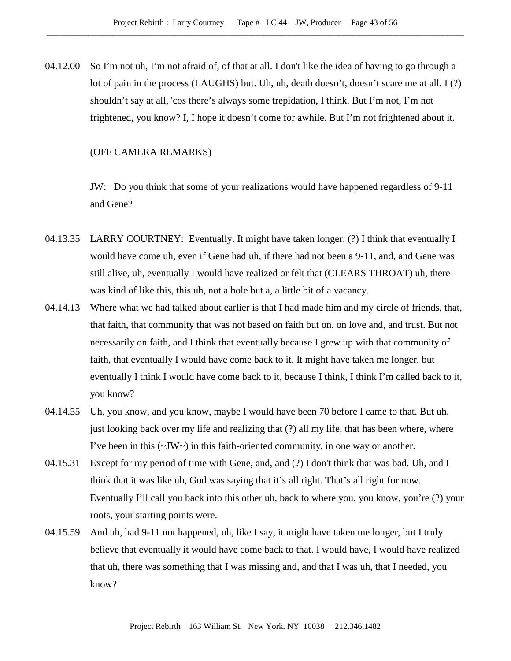04.12.00 So I'm not uh, I'm not afraid of, of that at all. I don't like the idea of having to go through a lot of pain in the process (LAUGHS) but. Uh, uh, death doesn't, doesn't scare me at all. I (?) shouldn't say at all, 'cos there's always some trepidation, I think. But I'm not, I'm not frightened, you know? I, I hope it doesn't come for awhile. But I'm not frightened about it.

# (OFF CAMERA REMARKS)

JW: Do you think that some of your realizations would have happened regardless of 9-11 and Gene?

- 04.13.35 LARRY COURTNEY: Eventually. It might have taken longer. (?) I think that eventually I would have come uh, even if Gene had uh, if there had not been a 9-11, and, and Gene was still alive, uh, eventually I would have realized or felt that (CLEARS THROAT) uh, there was kind of like this, this uh, not a hole but a, a little bit of a vacancy.
- 04.14.13 Where what we had talked about earlier is that I had made him and my circle of friends, that, that faith, that community that was not based on faith but on, on love and, and trust. But not necessarily on faith, and I think that eventually because I grew up with that community of faith, that eventually I would have come back to it. It might have taken me longer, but eventually I think I would have come back to it, because I think, I think I'm called back to it, you know?
- 04.14.55 Uh, you know, and you know, maybe I would have been 70 before I came to that. But uh, just looking back over my life and realizing that (?) all my life, that has been where, where I've been in this  $(\sim JW \sim)$  in this faith-oriented community, in one way or another.
- 04.15.31 Except for my period of time with Gene, and, and (?) I don't think that was bad. Uh, and I think that it was like uh, God was saying that it's all right. That's all right for now. Eventually I'll call you back into this other uh, back to where you, you know, you're (?) your roots, your starting points were.
- 04.15.59 And uh, had 9-11 not happened, uh, like I say, it might have taken me longer, but I truly believe that eventually it would have come back to that. I would have, I would have realized that uh, there was something that I was missing and, and that I was uh, that I needed, you know?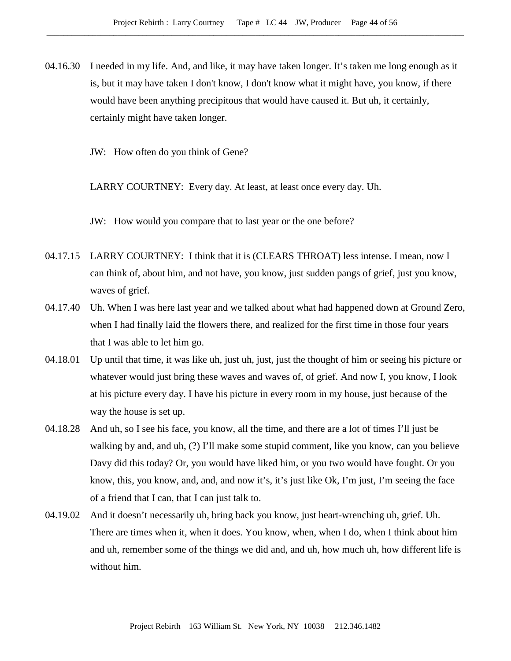04.16.30 I needed in my life. And, and like, it may have taken longer. It's taken me long enough as it is, but it may have taken I don't know, I don't know what it might have, you know, if there would have been anything precipitous that would have caused it. But uh, it certainly, certainly might have taken longer.

JW: How often do you think of Gene?

LARRY COURTNEY: Every day. At least, at least once every day. Uh.

JW: How would you compare that to last year or the one before?

- 04.17.15 LARRY COURTNEY: I think that it is (CLEARS THROAT) less intense. I mean, now I can think of, about him, and not have, you know, just sudden pangs of grief, just you know, waves of grief.
- 04.17.40 Uh. When I was here last year and we talked about what had happened down at Ground Zero, when I had finally laid the flowers there, and realized for the first time in those four years that I was able to let him go.
- 04.18.01 Up until that time, it was like uh, just uh, just, just the thought of him or seeing his picture or whatever would just bring these waves and waves of, of grief. And now I, you know, I look at his picture every day. I have his picture in every room in my house, just because of the way the house is set up.
- 04.18.28 And uh, so I see his face, you know, all the time, and there are a lot of times I'll just be walking by and, and uh, (?) I'll make some stupid comment, like you know, can you believe Davy did this today? Or, you would have liked him, or you two would have fought. Or you know, this, you know, and, and, and now it's, it's just like Ok, I'm just, I'm seeing the face of a friend that I can, that I can just talk to.
- 04.19.02 And it doesn't necessarily uh, bring back you know, just heart-wrenching uh, grief. Uh. There are times when it, when it does. You know, when, when I do, when I think about him and uh, remember some of the things we did and, and uh, how much uh, how different life is without him.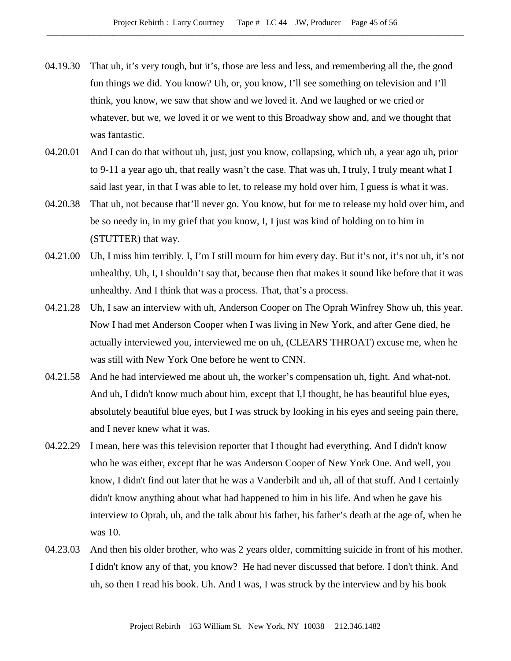- 04.19.30 That uh, it's very tough, but it's, those are less and less, and remembering all the, the good fun things we did. You know? Uh, or, you know, I'll see something on television and I'll think, you know, we saw that show and we loved it. And we laughed or we cried or whatever, but we, we loved it or we went to this Broadway show and, and we thought that was fantastic.
- 04.20.01 And I can do that without uh, just, just you know, collapsing, which uh, a year ago uh, prior to 9-11 a year ago uh, that really wasn't the case. That was uh, I truly, I truly meant what I said last year, in that I was able to let, to release my hold over him, I guess is what it was.
- 04.20.38 That uh, not because that'll never go. You know, but for me to release my hold over him, and be so needy in, in my grief that you know, I, I just was kind of holding on to him in (STUTTER) that way.
- 04.21.00 Uh, I miss him terribly. I, I'm I still mourn for him every day. But it's not, it's not uh, it's not unhealthy. Uh, I, I shouldn't say that, because then that makes it sound like before that it was unhealthy. And I think that was a process. That, that's a process.
- 04.21.28 Uh, I saw an interview with uh, Anderson Cooper on The Oprah Winfrey Show uh, this year. Now I had met Anderson Cooper when I was living in New York, and after Gene died, he actually interviewed you, interviewed me on uh, (CLEARS THROAT) excuse me, when he was still with New York One before he went to CNN.
- 04.21.58 And he had interviewed me about uh, the worker's compensation uh, fight. And what-not. And uh, I didn't know much about him, except that I,I thought, he has beautiful blue eyes, absolutely beautiful blue eyes, but I was struck by looking in his eyes and seeing pain there, and I never knew what it was.
- 04.22.29 I mean, here was this television reporter that I thought had everything. And I didn't know who he was either, except that he was Anderson Cooper of New York One. And well, you know, I didn't find out later that he was a Vanderbilt and uh, all of that stuff. And I certainly didn't know anything about what had happened to him in his life. And when he gave his interview to Oprah, uh, and the talk about his father, his father's death at the age of, when he was 10.
- 04.23.03 And then his older brother, who was 2 years older, committing suicide in front of his mother. I didn't know any of that, you know? He had never discussed that before. I don't think. And uh, so then I read his book. Uh. And I was, I was struck by the interview and by his book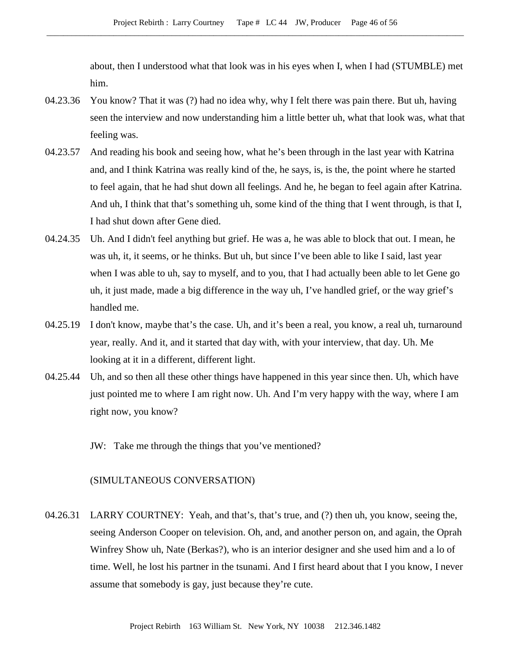about, then I understood what that look was in his eyes when I, when I had (STUMBLE) met him.

- 04.23.36 You know? That it was (?) had no idea why, why I felt there was pain there. But uh, having seen the interview and now understanding him a little better uh, what that look was, what that feeling was.
- 04.23.57 And reading his book and seeing how, what he's been through in the last year with Katrina and, and I think Katrina was really kind of the, he says, is, is the, the point where he started to feel again, that he had shut down all feelings. And he, he began to feel again after Katrina. And uh, I think that that's something uh, some kind of the thing that I went through, is that I, I had shut down after Gene died.
- 04.24.35 Uh. And I didn't feel anything but grief. He was a, he was able to block that out. I mean, he was uh, it, it seems, or he thinks. But uh, but since I've been able to like I said, last year when I was able to uh, say to myself, and to you, that I had actually been able to let Gene go uh, it just made, made a big difference in the way uh, I've handled grief, or the way grief's handled me.
- 04.25.19 I don't know, maybe that's the case. Uh, and it's been a real, you know, a real uh, turnaround year, really. And it, and it started that day with, with your interview, that day. Uh. Me looking at it in a different, different light.
- 04.25.44 Uh, and so then all these other things have happened in this year since then. Uh, which have just pointed me to where I am right now. Uh. And I'm very happy with the way, where I am right now, you know?
	- JW: Take me through the things that you've mentioned?

## (SIMULTANEOUS CONVERSATION)

04.26.31 LARRY COURTNEY: Yeah, and that's, that's true, and (?) then uh, you know, seeing the, seeing Anderson Cooper on television. Oh, and, and another person on, and again, the Oprah Winfrey Show uh, Nate (Berkas?), who is an interior designer and she used him and a lo of time. Well, he lost his partner in the tsunami. And I first heard about that I you know, I never assume that somebody is gay, just because they're cute.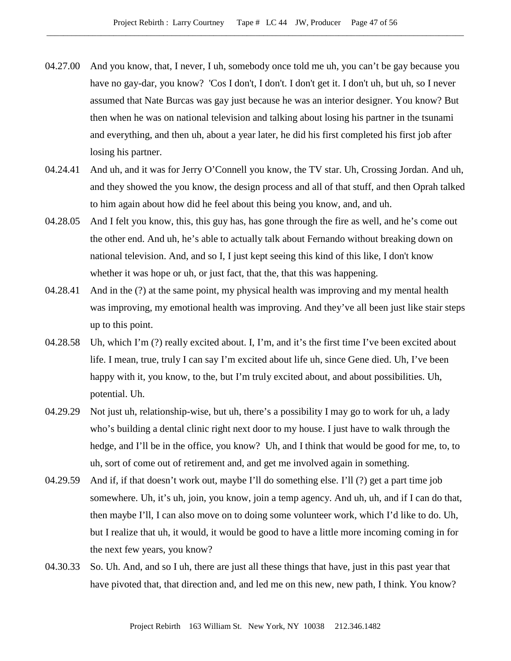- 04.27.00 And you know, that, I never, I uh, somebody once told me uh, you can't be gay because you have no gay-dar, you know? 'Cos I don't, I don't. I don't get it. I don't uh, but uh, so I never assumed that Nate Burcas was gay just because he was an interior designer. You know? But then when he was on national television and talking about losing his partner in the tsunami and everything, and then uh, about a year later, he did his first completed his first job after losing his partner.
- 04.24.41 And uh, and it was for Jerry O'Connell you know, the TV star. Uh, Crossing Jordan. And uh, and they showed the you know, the design process and all of that stuff, and then Oprah talked to him again about how did he feel about this being you know, and, and uh.
- 04.28.05 And I felt you know, this, this guy has, has gone through the fire as well, and he's come out the other end. And uh, he's able to actually talk about Fernando without breaking down on national television. And, and so I, I just kept seeing this kind of this like, I don't know whether it was hope or uh, or just fact, that the, that this was happening.
- 04.28.41 And in the (?) at the same point, my physical health was improving and my mental health was improving, my emotional health was improving. And they've all been just like stair steps up to this point.
- 04.28.58 Uh, which I'm (?) really excited about. I, I'm, and it's the first time I've been excited about life. I mean, true, truly I can say I'm excited about life uh, since Gene died. Uh, I've been happy with it, you know, to the, but I'm truly excited about, and about possibilities. Uh, potential. Uh.
- 04.29.29 Not just uh, relationship-wise, but uh, there's a possibility I may go to work for uh, a lady who's building a dental clinic right next door to my house. I just have to walk through the hedge, and I'll be in the office, you know? Uh, and I think that would be good for me, to, to uh, sort of come out of retirement and, and get me involved again in something.
- 04.29.59 And if, if that doesn't work out, maybe I'll do something else. I'll (?) get a part time job somewhere. Uh, it's uh, join, you know, join a temp agency. And uh, uh, and if I can do that, then maybe I'll, I can also move on to doing some volunteer work, which I'd like to do. Uh, but I realize that uh, it would, it would be good to have a little more incoming coming in for the next few years, you know?
- 04.30.33 So. Uh. And, and so I uh, there are just all these things that have, just in this past year that have pivoted that, that direction and, and led me on this new, new path, I think. You know?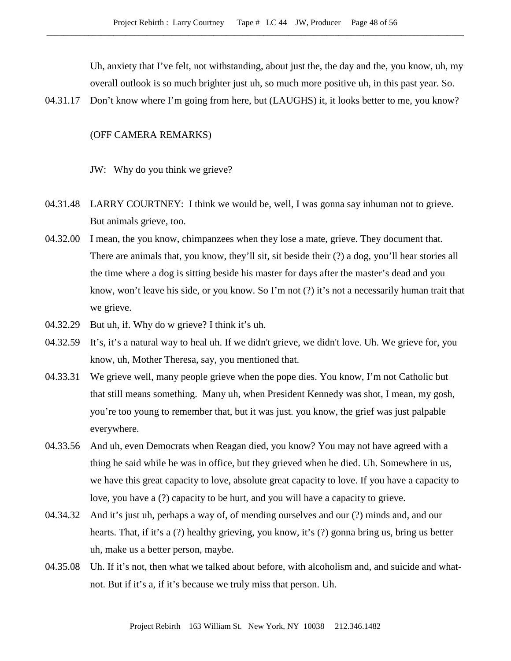Uh, anxiety that I've felt, not withstanding, about just the, the day and the, you know, uh, my overall outlook is so much brighter just uh, so much more positive uh, in this past year. So.

04.31.17 Don't know where I'm going from here, but (LAUGHS) it, it looks better to me, you know?

# (OFF CAMERA REMARKS)

JW: Why do you think we grieve?

- 04.31.48 LARRY COURTNEY: I think we would be, well, I was gonna say inhuman not to grieve. But animals grieve, too.
- 04.32.00 I mean, the you know, chimpanzees when they lose a mate, grieve. They document that. There are animals that, you know, they'll sit, sit beside their (?) a dog, you'll hear stories all the time where a dog is sitting beside his master for days after the master's dead and you know, won't leave his side, or you know. So I'm not (?) it's not a necessarily human trait that we grieve.
- 04.32.29 But uh, if. Why do w grieve? I think it's uh.
- 04.32.59 It's, it's a natural way to heal uh. If we didn't grieve, we didn't love. Uh. We grieve for, you know, uh, Mother Theresa, say, you mentioned that.
- 04.33.31 We grieve well, many people grieve when the pope dies. You know, I'm not Catholic but that still means something. Many uh, when President Kennedy was shot, I mean, my gosh, you're too young to remember that, but it was just. you know, the grief was just palpable everywhere.
- 04.33.56 And uh, even Democrats when Reagan died, you know? You may not have agreed with a thing he said while he was in office, but they grieved when he died. Uh. Somewhere in us, we have this great capacity to love, absolute great capacity to love. If you have a capacity to love, you have a (?) capacity to be hurt, and you will have a capacity to grieve.
- 04.34.32 And it's just uh, perhaps a way of, of mending ourselves and our (?) minds and, and our hearts. That, if it's a (?) healthy grieving, you know, it's (?) gonna bring us, bring us better uh, make us a better person, maybe.
- 04.35.08 Uh. If it's not, then what we talked about before, with alcoholism and, and suicide and whatnot. But if it's a, if it's because we truly miss that person. Uh.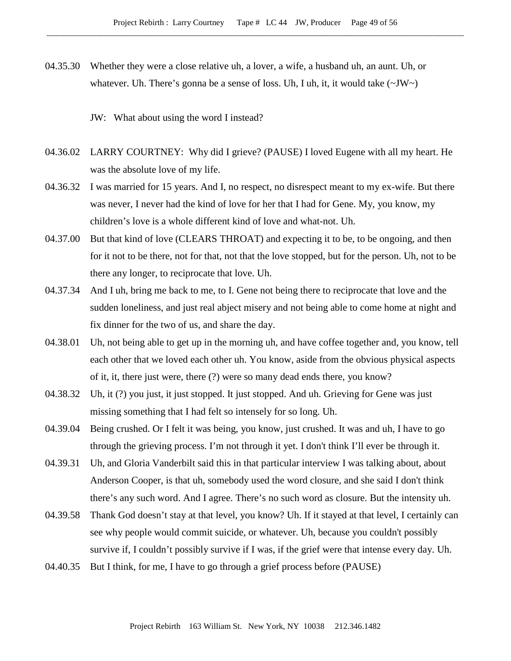04.35.30 Whether they were a close relative uh, a lover, a wife, a husband uh, an aunt. Uh, or whatever. Uh. There's gonna be a sense of loss. Uh, I uh, it, it would take  $(\sim JW)$ 

#### JW: What about using the word I instead?

- 04.36.02 LARRY COURTNEY: Why did I grieve? (PAUSE) I loved Eugene with all my heart. He was the absolute love of my life.
- 04.36.32 I was married for 15 years. And I, no respect, no disrespect meant to my ex-wife. But there was never, I never had the kind of love for her that I had for Gene. My, you know, my children's love is a whole different kind of love and what-not. Uh.
- 04.37.00 But that kind of love (CLEARS THROAT) and expecting it to be, to be ongoing, and then for it not to be there, not for that, not that the love stopped, but for the person. Uh, not to be there any longer, to reciprocate that love. Uh.
- 04.37.34 And I uh, bring me back to me, to I. Gene not being there to reciprocate that love and the sudden loneliness, and just real abject misery and not being able to come home at night and fix dinner for the two of us, and share the day.
- 04.38.01 Uh, not being able to get up in the morning uh, and have coffee together and, you know, tell each other that we loved each other uh. You know, aside from the obvious physical aspects of it, it, there just were, there (?) were so many dead ends there, you know?
- 04.38.32 Uh, it (?) you just, it just stopped. It just stopped. And uh. Grieving for Gene was just missing something that I had felt so intensely for so long. Uh.
- 04.39.04 Being crushed. Or I felt it was being, you know, just crushed. It was and uh, I have to go through the grieving process. I'm not through it yet. I don't think I'll ever be through it.
- 04.39.31 Uh, and Gloria Vanderbilt said this in that particular interview I was talking about, about Anderson Cooper, is that uh, somebody used the word closure, and she said I don't think there's any such word. And I agree. There's no such word as closure. But the intensity uh.
- 04.39.58 Thank God doesn't stay at that level, you know? Uh. If it stayed at that level, I certainly can see why people would commit suicide, or whatever. Uh, because you couldn't possibly survive if, I couldn't possibly survive if I was, if the grief were that intense every day. Uh.
- 04.40.35 But I think, for me, I have to go through a grief process before (PAUSE)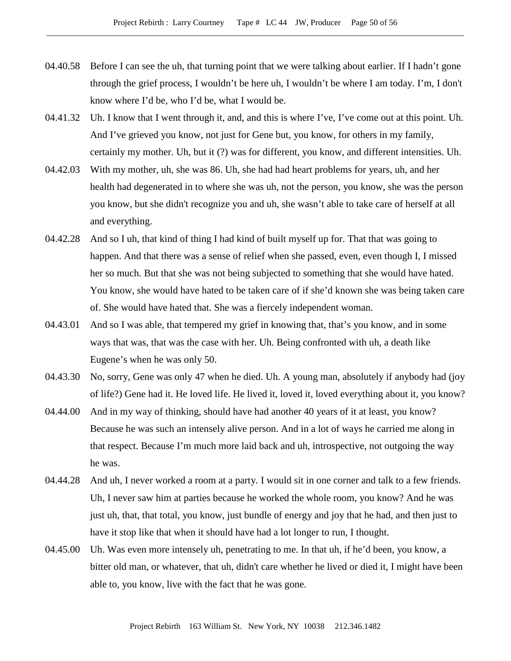- 04.40.58 Before I can see the uh, that turning point that we were talking about earlier. If I hadn't gone through the grief process, I wouldn't be here uh, I wouldn't be where I am today. I'm, I don't know where I'd be, who I'd be, what I would be.
- 04.41.32 Uh. I know that I went through it, and, and this is where I've, I've come out at this point. Uh. And I've grieved you know, not just for Gene but, you know, for others in my family, certainly my mother. Uh, but it (?) was for different, you know, and different intensities. Uh.
- 04.42.03 With my mother, uh, she was 86. Uh, she had had heart problems for years, uh, and her health had degenerated in to where she was uh, not the person, you know, she was the person you know, but she didn't recognize you and uh, she wasn't able to take care of herself at all and everything.
- 04.42.28 And so I uh, that kind of thing I had kind of built myself up for. That that was going to happen. And that there was a sense of relief when she passed, even, even though I, I missed her so much. But that she was not being subjected to something that she would have hated. You know, she would have hated to be taken care of if she'd known she was being taken care of. She would have hated that. She was a fiercely independent woman.
- 04.43.01 And so I was able, that tempered my grief in knowing that, that's you know, and in some ways that was, that was the case with her. Uh. Being confronted with uh, a death like Eugene's when he was only 50.
- 04.43.30 No, sorry, Gene was only 47 when he died. Uh. A young man, absolutely if anybody had (joy of life?) Gene had it. He loved life. He lived it, loved it, loved everything about it, you know?
- 04.44.00 And in my way of thinking, should have had another 40 years of it at least, you know? Because he was such an intensely alive person. And in a lot of ways he carried me along in that respect. Because I'm much more laid back and uh, introspective, not outgoing the way he was.
- 04.44.28 And uh, I never worked a room at a party. I would sit in one corner and talk to a few friends. Uh, I never saw him at parties because he worked the whole room, you know? And he was just uh, that, that total, you know, just bundle of energy and joy that he had, and then just to have it stop like that when it should have had a lot longer to run, I thought.
- 04.45.00 Uh. Was even more intensely uh, penetrating to me. In that uh, if he'd been, you know, a bitter old man, or whatever, that uh, didn't care whether he lived or died it, I might have been able to, you know, live with the fact that he was gone.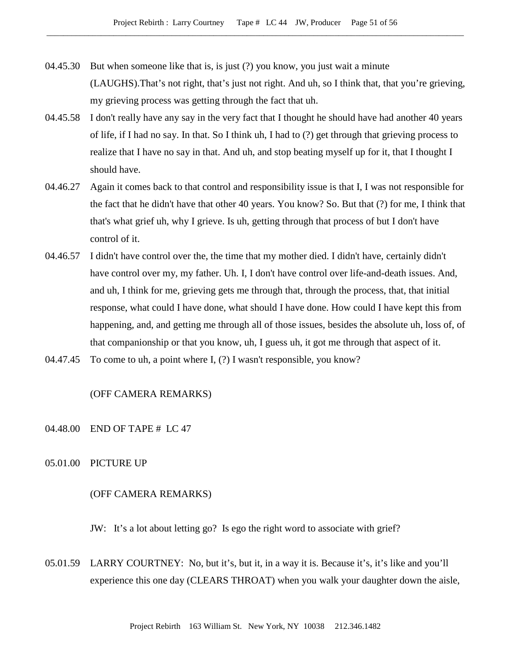- 04.45.30 But when someone like that is, is just (?) you know, you just wait a minute (LAUGHS).That's not right, that's just not right. And uh, so I think that, that you're grieving, my grieving process was getting through the fact that uh.
- 04.45.58 I don't really have any say in the very fact that I thought he should have had another 40 years of life, if I had no say. In that. So I think uh, I had to (?) get through that grieving process to realize that I have no say in that. And uh, and stop beating myself up for it, that I thought I should have.
- 04.46.27 Again it comes back to that control and responsibility issue is that I, I was not responsible for the fact that he didn't have that other 40 years. You know? So. But that (?) for me, I think that that's what grief uh, why I grieve. Is uh, getting through that process of but I don't have control of it.
- 04.46.57 I didn't have control over the, the time that my mother died. I didn't have, certainly didn't have control over my, my father. Uh. I, I don't have control over life-and-death issues. And, and uh, I think for me, grieving gets me through that, through the process, that, that initial response, what could I have done, what should I have done. How could I have kept this from happening, and, and getting me through all of those issues, besides the absolute uh, loss of, of that companionship or that you know, uh, I guess uh, it got me through that aspect of it.
- 04.47.45 To come to uh, a point where I, (?) I wasn't responsible, you know?

# (OFF CAMERA REMARKS)

- 04.48.00 END OF TAPE # LC 47
- 05.01.00 PICTURE UP

#### (OFF CAMERA REMARKS)

JW: It's a lot about letting go? Is ego the right word to associate with grief?

05.01.59 LARRY COURTNEY: No, but it's, but it, in a way it is. Because it's, it's like and you'll experience this one day (CLEARS THROAT) when you walk your daughter down the aisle,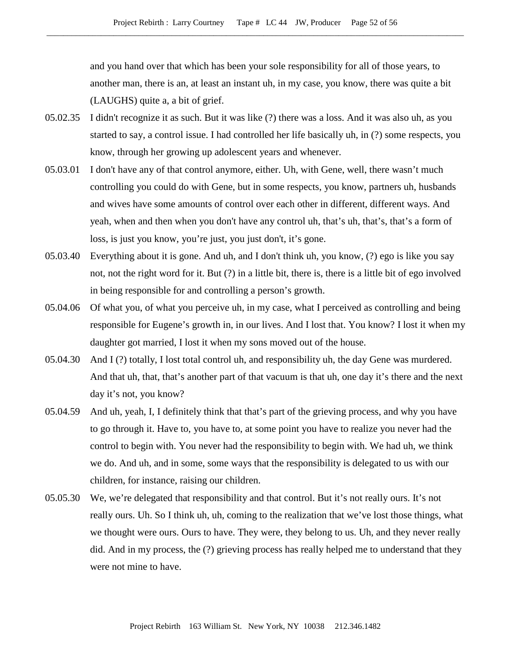and you hand over that which has been your sole responsibility for all of those years, to another man, there is an, at least an instant uh, in my case, you know, there was quite a bit (LAUGHS) quite a, a bit of grief.

- 05.02.35 I didn't recognize it as such. But it was like (?) there was a loss. And it was also uh, as you started to say, a control issue. I had controlled her life basically uh, in (?) some respects, you know, through her growing up adolescent years and whenever.
- 05.03.01 I don't have any of that control anymore, either. Uh, with Gene, well, there wasn't much controlling you could do with Gene, but in some respects, you know, partners uh, husbands and wives have some amounts of control over each other in different, different ways. And yeah, when and then when you don't have any control uh, that's uh, that's, that's a form of loss, is just you know, you're just, you just don't, it's gone.
- 05.03.40 Everything about it is gone. And uh, and I don't think uh, you know, (?) ego is like you say not, not the right word for it. But (?) in a little bit, there is, there is a little bit of ego involved in being responsible for and controlling a person's growth.
- 05.04.06 Of what you, of what you perceive uh, in my case, what I perceived as controlling and being responsible for Eugene's growth in, in our lives. And I lost that. You know? I lost it when my daughter got married, I lost it when my sons moved out of the house.
- 05.04.30 And I (?) totally, I lost total control uh, and responsibility uh, the day Gene was murdered. And that uh, that, that's another part of that vacuum is that uh, one day it's there and the next day it's not, you know?
- 05.04.59 And uh, yeah, I, I definitely think that that's part of the grieving process, and why you have to go through it. Have to, you have to, at some point you have to realize you never had the control to begin with. You never had the responsibility to begin with. We had uh, we think we do. And uh, and in some, some ways that the responsibility is delegated to us with our children, for instance, raising our children.
- 05.05.30 We, we're delegated that responsibility and that control. But it's not really ours. It's not really ours. Uh. So I think uh, uh, coming to the realization that we've lost those things, what we thought were ours. Ours to have. They were, they belong to us. Uh, and they never really did. And in my process, the (?) grieving process has really helped me to understand that they were not mine to have.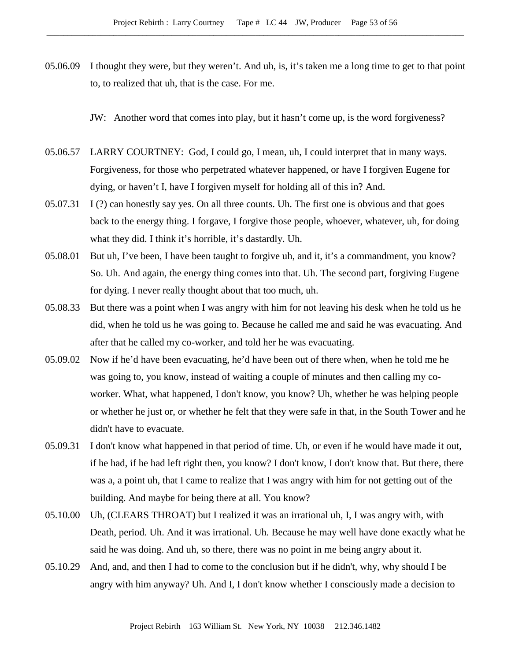05.06.09 I thought they were, but they weren't. And uh, is, it's taken me a long time to get to that point to, to realized that uh, that is the case. For me.

JW: Another word that comes into play, but it hasn't come up, is the word forgiveness?

- 05.06.57 LARRY COURTNEY: God, I could go, I mean, uh, I could interpret that in many ways. Forgiveness, for those who perpetrated whatever happened, or have I forgiven Eugene for dying, or haven't I, have I forgiven myself for holding all of this in? And.
- 05.07.31 I (?) can honestly say yes. On all three counts. Uh. The first one is obvious and that goes back to the energy thing. I forgave, I forgive those people, whoever, whatever, uh, for doing what they did. I think it's horrible, it's dastardly. Uh.
- 05.08.01 But uh, I've been, I have been taught to forgive uh, and it, it's a commandment, you know? So. Uh. And again, the energy thing comes into that. Uh. The second part, forgiving Eugene for dying. I never really thought about that too much, uh.
- 05.08.33 But there was a point when I was angry with him for not leaving his desk when he told us he did, when he told us he was going to. Because he called me and said he was evacuating. And after that he called my co-worker, and told her he was evacuating.
- 05.09.02 Now if he'd have been evacuating, he'd have been out of there when, when he told me he was going to, you know, instead of waiting a couple of minutes and then calling my coworker. What, what happened, I don't know, you know? Uh, whether he was helping people or whether he just or, or whether he felt that they were safe in that, in the South Tower and he didn't have to evacuate.
- 05.09.31 I don't know what happened in that period of time. Uh, or even if he would have made it out, if he had, if he had left right then, you know? I don't know, I don't know that. But there, there was a, a point uh, that I came to realize that I was angry with him for not getting out of the building. And maybe for being there at all. You know?
- 05.10.00 Uh, (CLEARS THROAT) but I realized it was an irrational uh, I, I was angry with, with Death, period. Uh. And it was irrational. Uh. Because he may well have done exactly what he said he was doing. And uh, so there, there was no point in me being angry about it.
- 05.10.29 And, and, and then I had to come to the conclusion but if he didn't, why, why should I be angry with him anyway? Uh. And I, I don't know whether I consciously made a decision to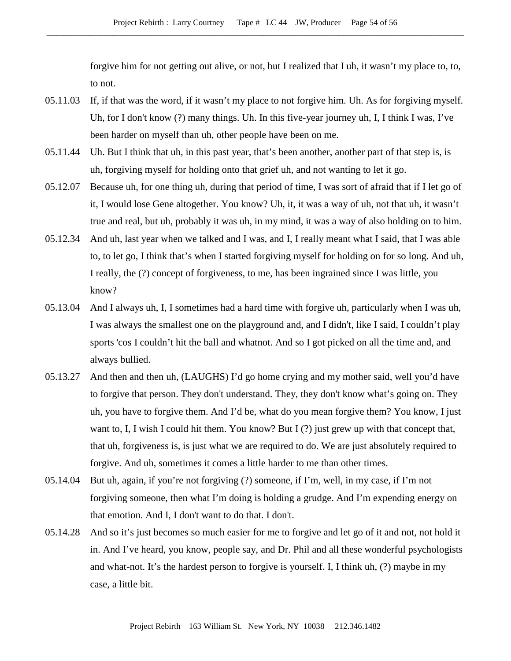forgive him for not getting out alive, or not, but I realized that I uh, it wasn't my place to, to, to not.

- 05.11.03 If, if that was the word, if it wasn't my place to not forgive him. Uh. As for forgiving myself. Uh, for I don't know (?) many things. Uh. In this five-year journey uh, I, I think I was, I've been harder on myself than uh, other people have been on me.
- 05.11.44 Uh. But I think that uh, in this past year, that's been another, another part of that step is, is uh, forgiving myself for holding onto that grief uh, and not wanting to let it go.
- 05.12.07 Because uh, for one thing uh, during that period of time, I was sort of afraid that if I let go of it, I would lose Gene altogether. You know? Uh, it, it was a way of uh, not that uh, it wasn't true and real, but uh, probably it was uh, in my mind, it was a way of also holding on to him.
- 05.12.34 And uh, last year when we talked and I was, and I, I really meant what I said, that I was able to, to let go, I think that's when I started forgiving myself for holding on for so long. And uh, I really, the (?) concept of forgiveness, to me, has been ingrained since I was little, you know?
- 05.13.04 And I always uh, I, I sometimes had a hard time with forgive uh, particularly when I was uh, I was always the smallest one on the playground and, and I didn't, like I said, I couldn't play sports 'cos I couldn't hit the ball and whatnot. And so I got picked on all the time and, and always bullied.
- 05.13.27 And then and then uh, (LAUGHS) I'd go home crying and my mother said, well you'd have to forgive that person. They don't understand. They, they don't know what's going on. They uh, you have to forgive them. And I'd be, what do you mean forgive them? You know, I just want to, I, I wish I could hit them. You know? But I (?) just grew up with that concept that, that uh, forgiveness is, is just what we are required to do. We are just absolutely required to forgive. And uh, sometimes it comes a little harder to me than other times.
- 05.14.04 But uh, again, if you're not forgiving (?) someone, if I'm, well, in my case, if I'm not forgiving someone, then what I'm doing is holding a grudge. And I'm expending energy on that emotion. And I, I don't want to do that. I don't.
- 05.14.28 And so it's just becomes so much easier for me to forgive and let go of it and not, not hold it in. And I've heard, you know, people say, and Dr. Phil and all these wonderful psychologists and what-not. It's the hardest person to forgive is yourself. I, I think uh, (?) maybe in my case, a little bit.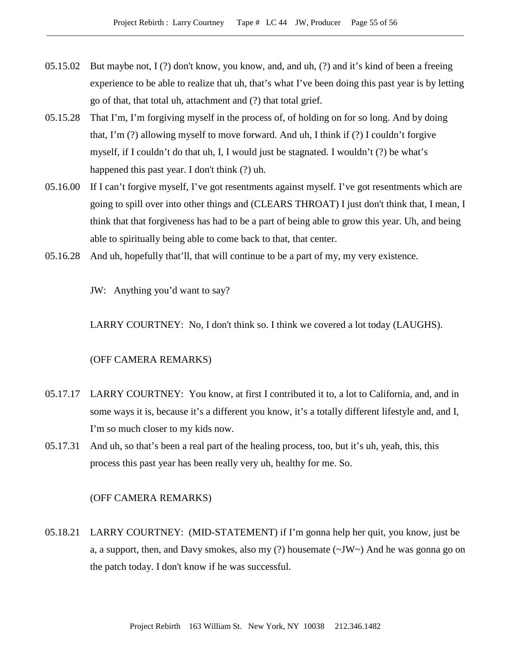- 05.15.02 But maybe not, I (?) don't know, you know, and, and uh, (?) and it's kind of been a freeing experience to be able to realize that uh, that's what I've been doing this past year is by letting go of that, that total uh, attachment and (?) that total grief.
- 05.15.28 That I'm, I'm forgiving myself in the process of, of holding on for so long. And by doing that, I'm (?) allowing myself to move forward. And uh, I think if (?) I couldn't forgive myself, if I couldn't do that uh, I, I would just be stagnated. I wouldn't (?) be what's happened this past year. I don't think (?) uh.
- 05.16.00 If I can't forgive myself, I've got resentments against myself. I've got resentments which are going to spill over into other things and (CLEARS THROAT) I just don't think that, I mean, I think that that forgiveness has had to be a part of being able to grow this year. Uh, and being able to spiritually being able to come back to that, that center.
- 05.16.28 And uh, hopefully that'll, that will continue to be a part of my, my very existence.

JW: Anything you'd want to say?

LARRY COURTNEY: No, I don't think so. I think we covered a lot today (LAUGHS).

# (OFF CAMERA REMARKS)

- 05.17.17 LARRY COURTNEY: You know, at first I contributed it to, a lot to California, and, and in some ways it is, because it's a different you know, it's a totally different lifestyle and, and I, I'm so much closer to my kids now.
- 05.17.31 And uh, so that's been a real part of the healing process, too, but it's uh, yeah, this, this process this past year has been really very uh, healthy for me. So.

# (OFF CAMERA REMARKS)

05.18.21 LARRY COURTNEY: (MID-STATEMENT) if I'm gonna help her quit, you know, just be a, a support, then, and Davy smokes, also my  $(?)$  housemate  $(\sim JW)$  And he was gonna go on the patch today. I don't know if he was successful.